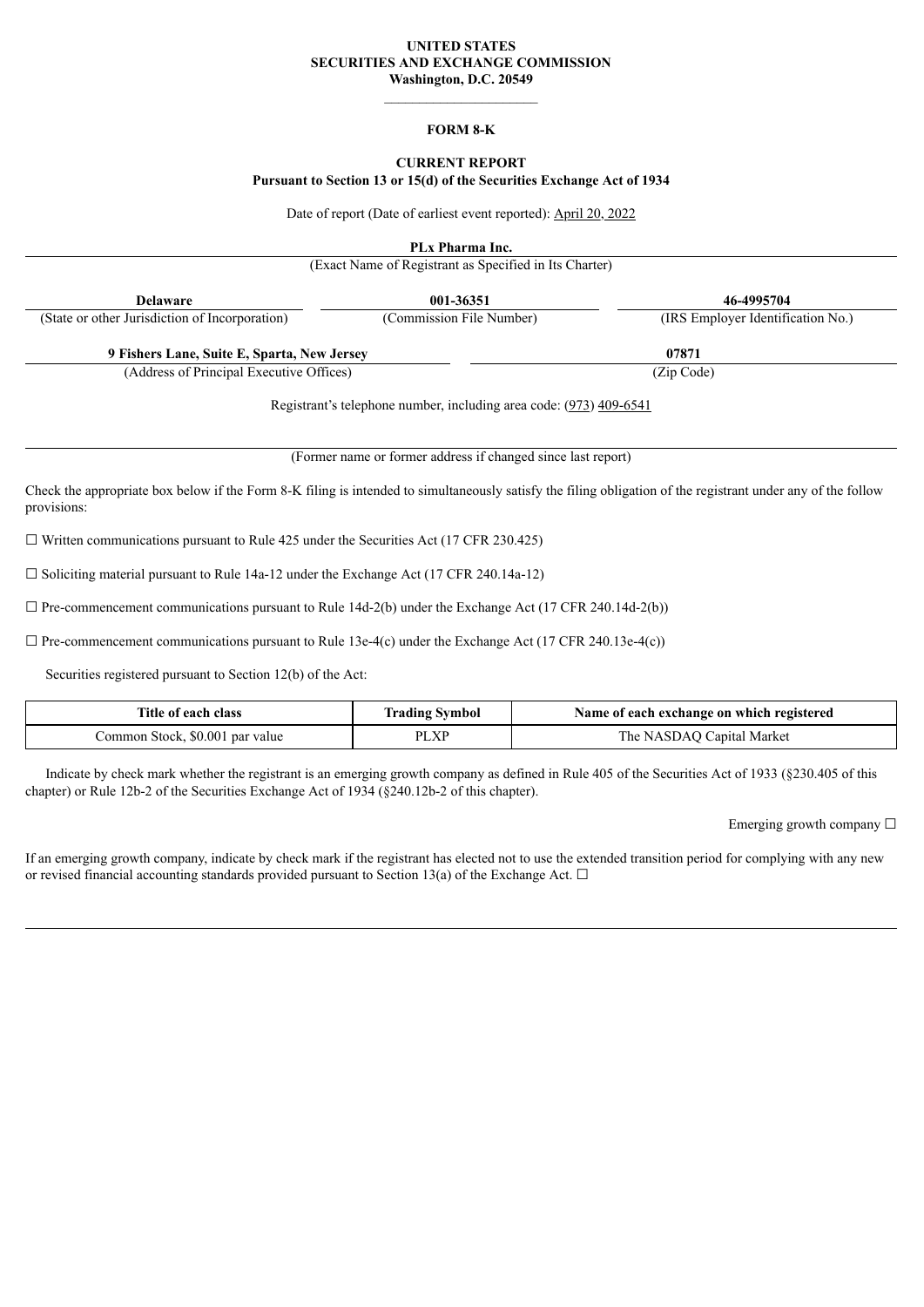#### **UNITED STATES SECURITIES AND EXCHANGE COMMISSION Washington, D.C. 20549**

#### **FORM 8-K**

# **CURRENT REPORT**

#### **Pursuant to Section 13 or 15(d) of the Securities Exchange Act of 1934**

Date of report (Date of earliest event reported): April 20, 2022

**PLx Pharma Inc.**

(Exact Name of Registrant as Specified in Its Charter)

**Delaware 001-36351 46-4995704**

| (State or other Jurisdiction of Incorporation) | (Commission File Number) | (IRS Employer Identification No.) |
|------------------------------------------------|--------------------------|-----------------------------------|
| 9 Fishers Lane, Suite E, Sparta, New Jersey    |                          | 07871                             |
| (Address of Principal Executive Offices)       |                          | (Zip Code)                        |

Registrant's telephone number, including area code: (973) 409-6541

(Former name or former address if changed since last report)

Check the appropriate box below if the Form 8-K filing is intended to simultaneously satisfy the filing obligation of the registrant under any of the follow provisions:

 $\Box$  Written communications pursuant to Rule 425 under the Securities Act (17 CFR 230.425)

 $\Box$  Soliciting material pursuant to Rule 14a-12 under the Exchange Act (17 CFR 240.14a-12)

 $\Box$  Pre-commencement communications pursuant to Rule 14d-2(b) under the Exchange Act (17 CFR 240.14d-2(b))

 $\Box$  Pre-commencement communications pursuant to Rule 13e-4(c) under the Exchange Act (17 CFR 240.13e-4(c))

Securities registered pursuant to Section 12(b) of the Act:

| <b>Title of each class</b>      | <b>Trading Symbol</b> | Name of each exchange on which registered |
|---------------------------------|-----------------------|-------------------------------------------|
| Common Stock, \$0.001 par value | PLXP                  | The NASDAQ Capital Market                 |

Indicate by check mark whether the registrant is an emerging growth company as defined in Rule 405 of the Securities Act of 1933 (§230.405 of this chapter) or Rule 12b-2 of the Securities Exchange Act of 1934 (§240.12b-2 of this chapter).

Emerging growth company ☐

If an emerging growth company, indicate by check mark if the registrant has elected not to use the extended transition period for complying with any new or revised financial accounting standards provided pursuant to Section 13(a) of the Exchange Act.  $\Box$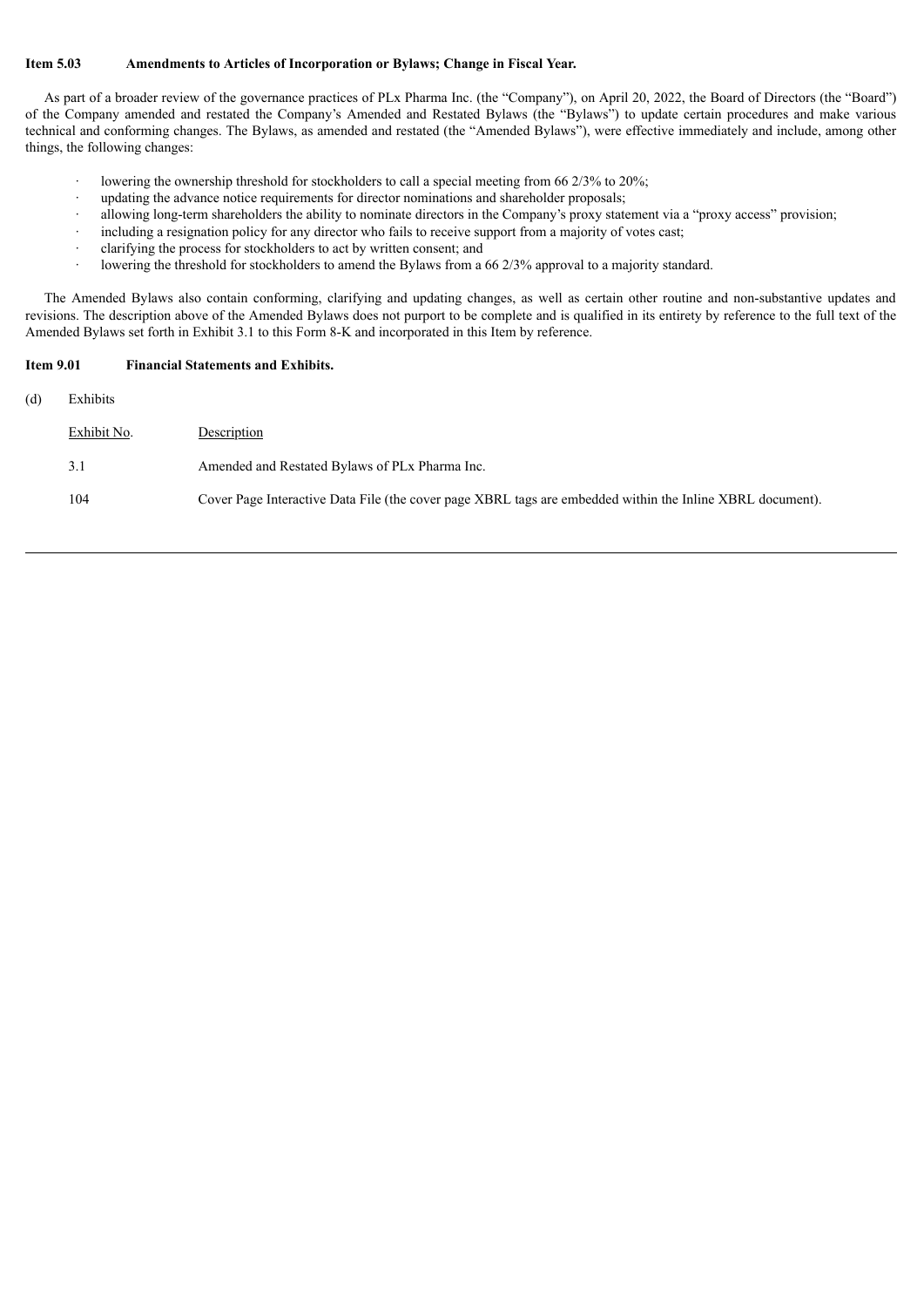#### **Item 5.03 Amendments to Articles of Incorporation or Bylaws; Change in Fiscal Year.**

As part of a broader review of the governance practices of PLx Pharma Inc. (the "Company"), on April 20, 2022, the Board of Directors (the "Board") of the Company amended and restated the Company's Amended and Restated Bylaws (the "Bylaws") to update certain procedures and make various technical and conforming changes. The Bylaws, as amended and restated (the "Amended Bylaws"), were effective immediately and include, among other things, the following changes:

- lowering the ownership threshold for stockholders to call a special meeting from 66 2/3% to 20%;
- updating the advance notice requirements for director nominations and shareholder proposals;
- · allowing long-term shareholders the ability to nominate directors in the Company's proxy statement via a "proxy access" provision;
- including a resignation policy for any director who fails to receive support from a majority of votes cast;
- · clarifying the process for stockholders to act by written consent; and
- lowering the threshold for stockholders to amend the Bylaws from a 66 2/3% approval to a majority standard.

The Amended Bylaws also contain conforming, clarifying and updating changes, as well as certain other routine and non-substantive updates and revisions. The description above of the Amended Bylaws does not purport to be complete and is qualified in its entirety by reference to the full text of the Amended Bylaws set forth in Exhibit 3.1 to this Form 8-K and incorporated in this Item by reference.

#### **Item 9.01 Financial Statements and Exhibits.**

(d) Exhibits

| Exhibit No. | Description                                                                                               |
|-------------|-----------------------------------------------------------------------------------------------------------|
| 3.1         | Amended and Restated Bylaws of PL <sub>x</sub> Pharma Inc.                                                |
| 104         | Cover Page Interactive Data File (the cover page XBRL tags are embedded within the Inline XBRL document). |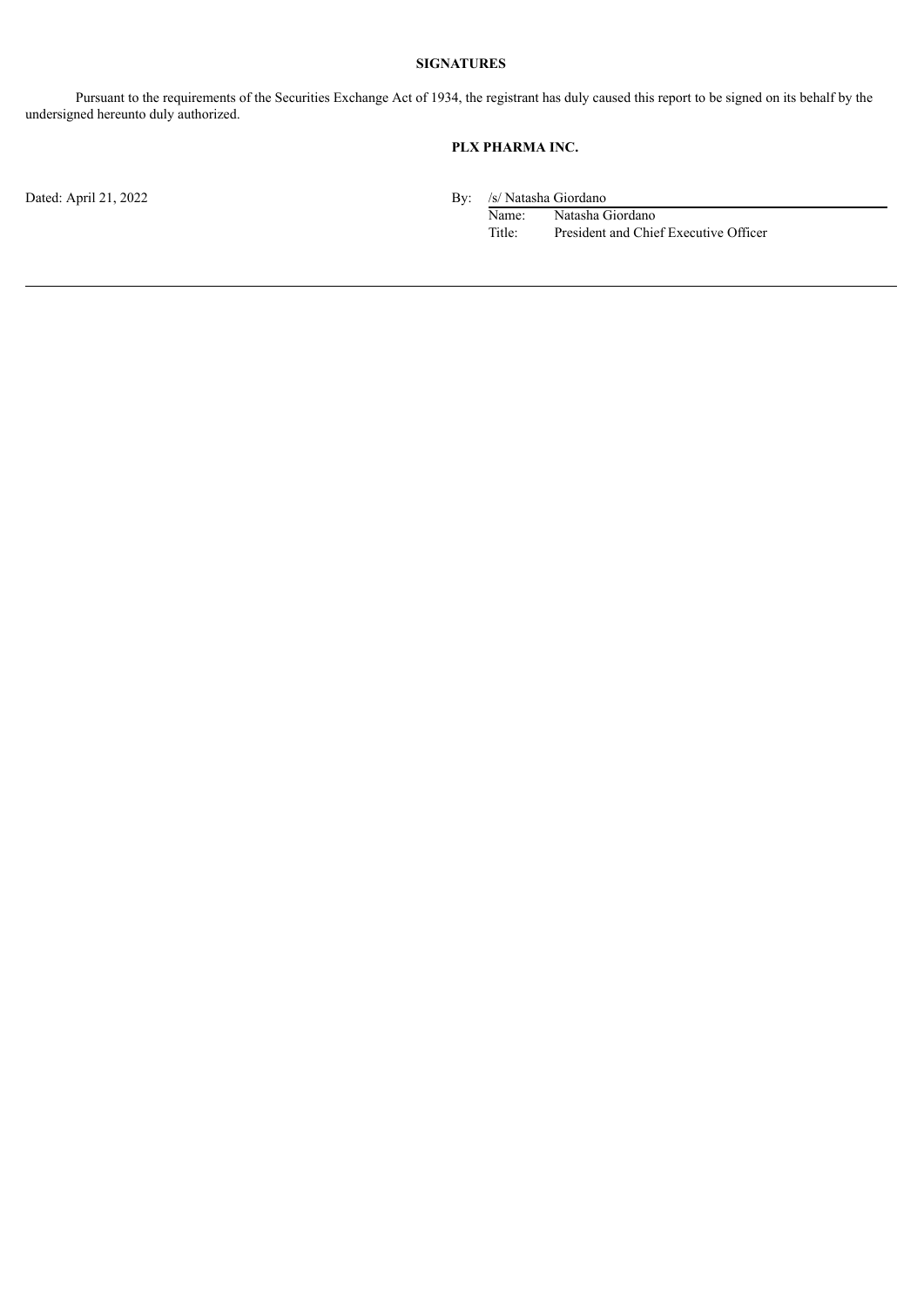# **SIGNATURES**

Pursuant to the requirements of the Securities Exchange Act of 1934, the registrant has duly caused this report to be signed on its behalf by the undersigned hereunto duly authorized.

# **PLX PHARMA INC.**

Dated: April 21, 2022 By: /s/ Natasha Giordano<br>Name: /s/ Natasha Giordano<br>Name: /s/ Natasha Giordano

Name: Natasha Giordano<br>Title: President and Chie President and Chief Executive Officer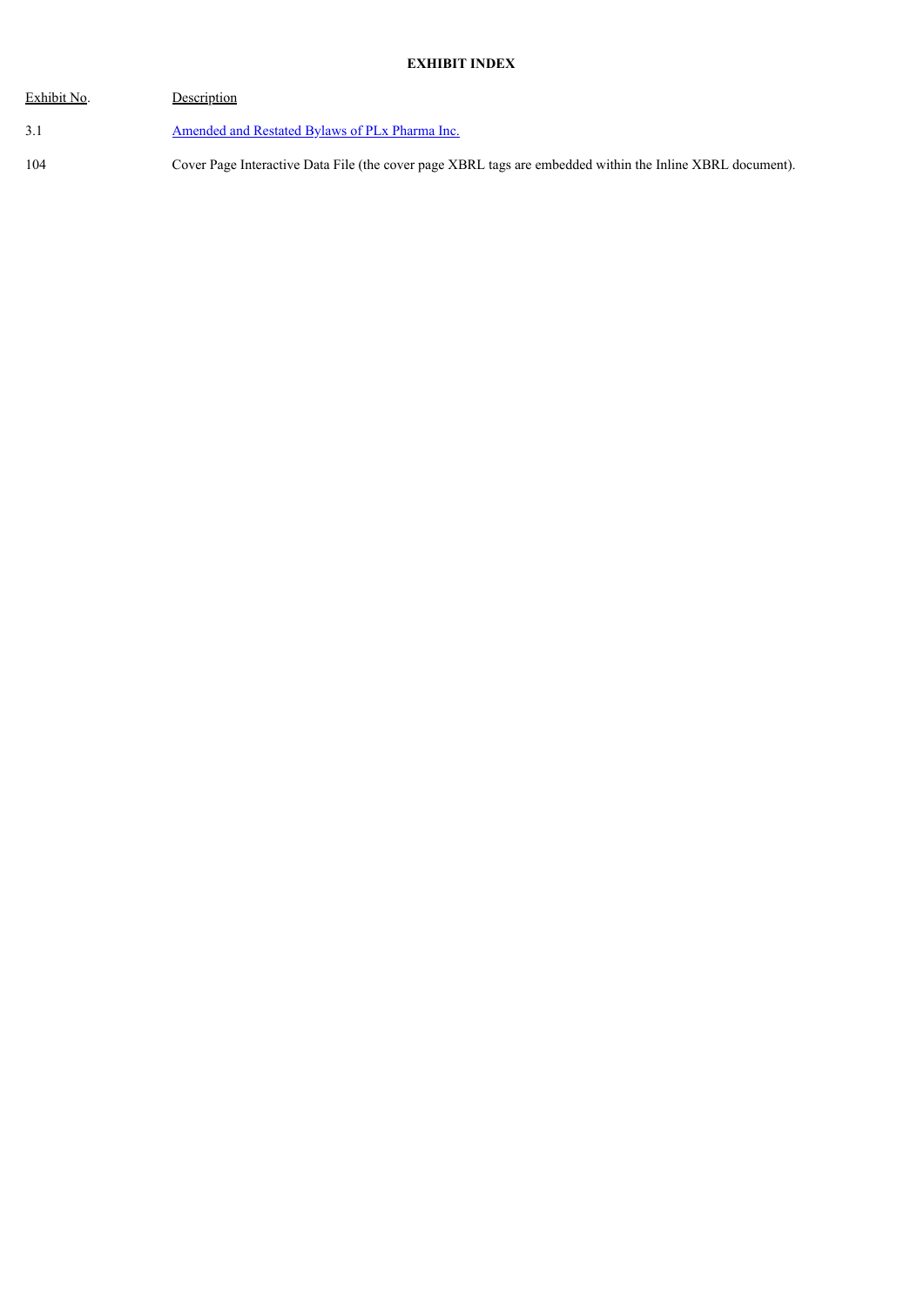| Exhibit No. | Description                                                                                               |
|-------------|-----------------------------------------------------------------------------------------------------------|
| 3.1         | Amended and Restated Bylaws of PLx Pharma Inc.                                                            |
| 104         | Cover Page Interactive Data File (the cover page XBRL tags are embedded within the Inline XBRL document). |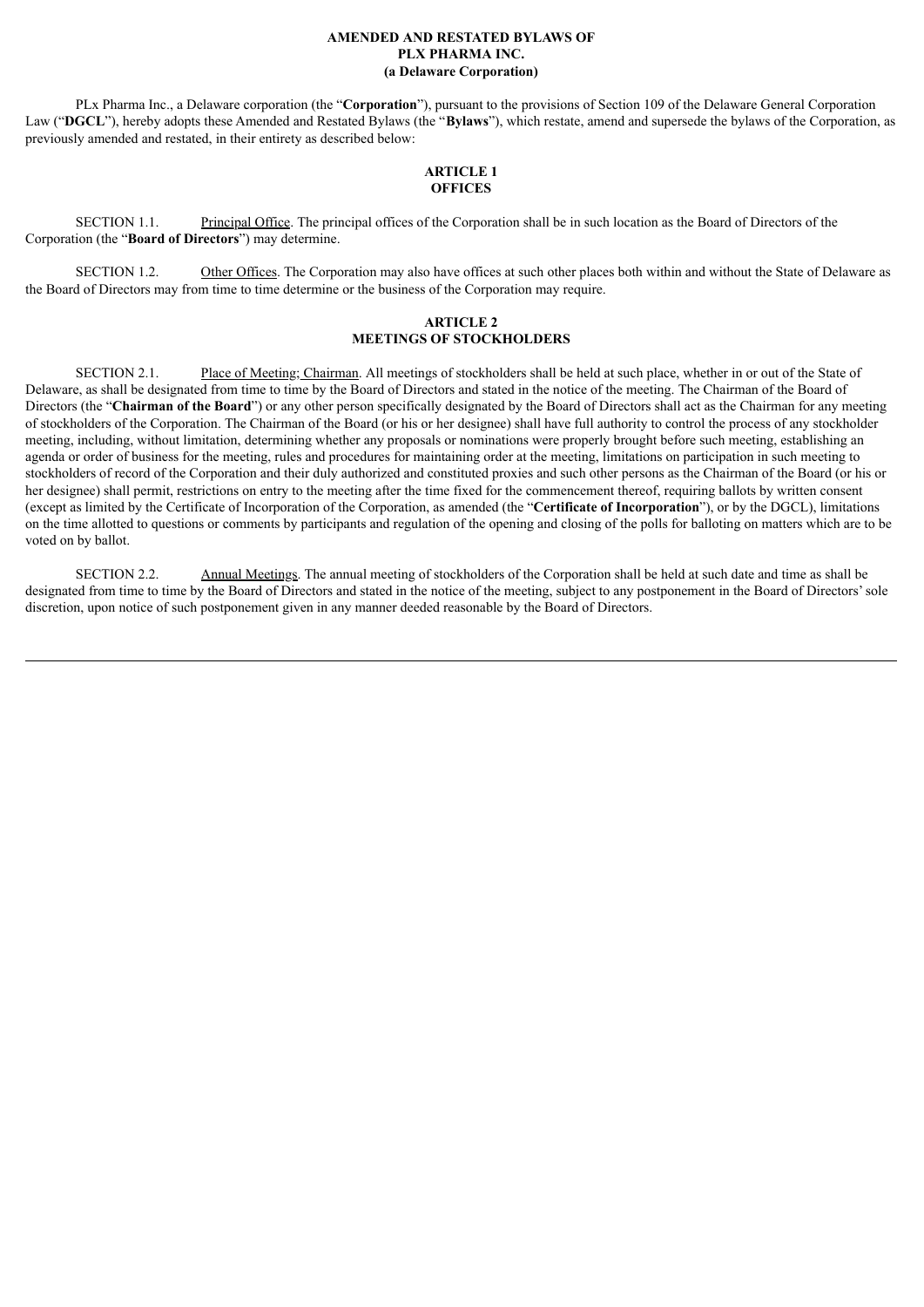#### **AMENDED AND RESTATED BYLAWS OF PLX PHARMA INC. (a Delaware Corporation)**

<span id="page-4-0"></span>PLx Pharma Inc., a Delaware corporation (the "**Corporation**"), pursuant to the provisions of Section 109 of the Delaware General Corporation Law ("**DGCL**"), hereby adopts these Amended and Restated Bylaws (the "**Bylaws**"), which restate, amend and supersede the bylaws of the Corporation, as previously amended and restated, in their entirety as described below:

#### **ARTICLE 1 OFFICES**

SECTION 1.1. Principal Office. The principal offices of the Corporation shall be in such location as the Board of Directors of the Corporation (the "**Board of Directors**") may determine.

SECTION 1.2. Other Offices. The Corporation may also have offices at such other places both within and without the State of Delaware as the Board of Directors may from time to time determine or the business of the Corporation may require.

### **ARTICLE 2 MEETINGS OF STOCKHOLDERS**

SECTION 2.1. Place of Meeting; Chairman. All meetings of stockholders shall be held at such place, whether in or out of the State of Delaware, as shall be designated from time to time by the Board of Directors and stated in the notice of the meeting. The Chairman of the Board of Directors (the "**Chairman of the Board**") or any other person specifically designated by the Board of Directors shall act as the Chairman for any meeting of stockholders of the Corporation. The Chairman of the Board (or his or her designee) shall have full authority to control the process of any stockholder meeting, including, without limitation, determining whether any proposals or nominations were properly brought before such meeting, establishing an agenda or order of business for the meeting, rules and procedures for maintaining order at the meeting, limitations on participation in such meeting to stockholders of record of the Corporation and their duly authorized and constituted proxies and such other persons as the Chairman of the Board (or his or her designee) shall permit, restrictions on entry to the meeting after the time fixed for the commencement thereof, requiring ballots by written consent (except as limited by the Certificate of Incorporation of the Corporation, as amended (the "**Certificate of Incorporation**"), or by the DGCL), limitations on the time allotted to questions or comments by participants and regulation of the opening and closing of the polls for balloting on matters which are to be voted on by ballot.

SECTION 2.2. Annual Meetings. The annual meeting of stockholders of the Corporation shall be held at such date and time as shall be designated from time to time by the Board of Directors and stated in the notice of the meeting, subject to any postponement in the Board of Directors'sole discretion, upon notice of such postponement given in any manner deeded reasonable by the Board of Directors.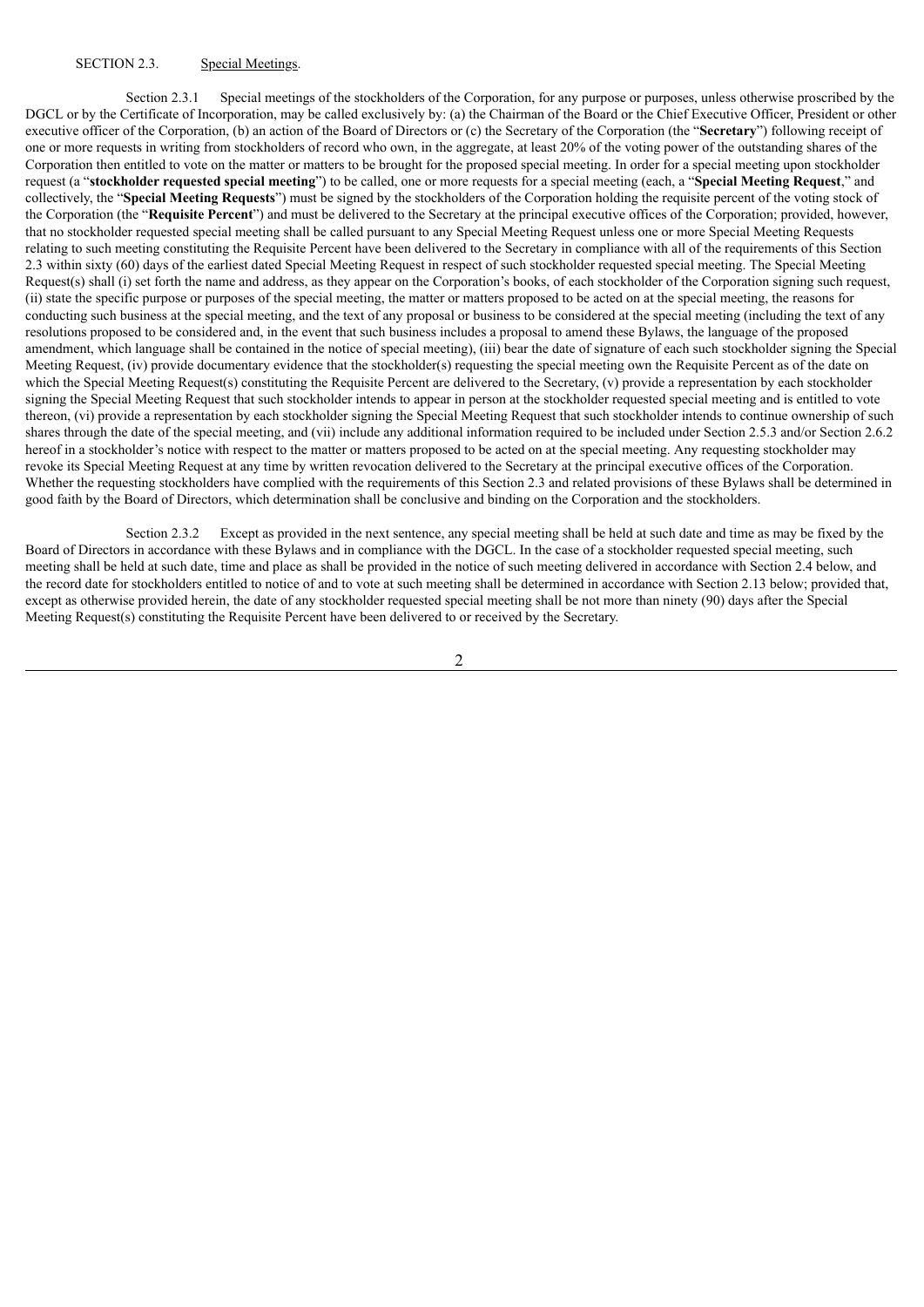### SECTION 2.3. Special Meetings.

Section 2.3.1 Special meetings of the stockholders of the Corporation, for any purpose or purposes, unless otherwise proscribed by the DGCL or by the Certificate of Incorporation, may be called exclusively by: (a) the Chairman of the Board or the Chief Executive Officer, President or other executive officer of the Corporation, (b) an action of the Board of Directors or (c) the Secretary of the Corporation (the "**Secretary**") following receipt of one or more requests in writing from stockholders of record who own, in the aggregate, at least 20% of the voting power of the outstanding shares of the Corporation then entitled to vote on the matter or matters to be brought for the proposed special meeting. In order for a special meeting upon stockholder request (a "**stockholder requested special meeting**") to be called, one or more requests for a special meeting (each, a "**Special Meeting Request**," and collectively, the "**Special Meeting Requests**") must be signed by the stockholders of the Corporation holding the requisite percent of the voting stock of the Corporation (the "**Requisite Percent**") and must be delivered to the Secretary at the principal executive offices of the Corporation; provided, however, that no stockholder requested special meeting shall be called pursuant to any Special Meeting Request unless one or more Special Meeting Requests relating to such meeting constituting the Requisite Percent have been delivered to the Secretary in compliance with all of the requirements of this Section 2.3 within sixty (60) days of the earliest dated Special Meeting Request in respect of such stockholder requested special meeting. The Special Meeting Request(s) shall (i) set forth the name and address, as they appear on the Corporation's books, of each stockholder of the Corporation signing such request, (ii) state the specific purpose or purposes of the special meeting, the matter or matters proposed to be acted on at the special meeting, the reasons for conducting such business at the special meeting, and the text of any proposal or business to be considered at the special meeting (including the text of any resolutions proposed to be considered and, in the event that such business includes a proposal to amend these Bylaws, the language of the proposed amendment, which language shall be contained in the notice of special meeting), (iii) bear the date of signature of each such stockholder signing the Special Meeting Request, (iv) provide documentary evidence that the stockholder(s) requesting the special meeting own the Requisite Percent as of the date on which the Special Meeting Request(s) constituting the Requisite Percent are delivered to the Secretary, (v) provide a representation by each stockholder signing the Special Meeting Request that such stockholder intends to appear in person at the stockholder requested special meeting and is entitled to vote thereon, (vi) provide a representation by each stockholder signing the Special Meeting Request that such stockholder intends to continue ownership of such shares through the date of the special meeting, and (vii) include any additional information required to be included under Section 2.5.3 and/or Section 2.6.2 hereof in a stockholder's notice with respect to the matter or matters proposed to be acted on at the special meeting. Any requesting stockholder may revoke its Special Meeting Request at any time by written revocation delivered to the Secretary at the principal executive offices of the Corporation. Whether the requesting stockholders have complied with the requirements of this Section 2.3 and related provisions of these Bylaws shall be determined in good faith by the Board of Directors, which determination shall be conclusive and binding on the Corporation and the stockholders.

Section 2.3.2 Except as provided in the next sentence, any special meeting shall be held at such date and time as may be fixed by the Board of Directors in accordance with these Bylaws and in compliance with the DGCL. In the case of a stockholder requested special meeting, such meeting shall be held at such date, time and place as shall be provided in the notice of such meeting delivered in accordance with Section 2.4 below, and the record date for stockholders entitled to notice of and to vote at such meeting shall be determined in accordance with Section 2.13 below; provided that, except as otherwise provided herein, the date of any stockholder requested special meeting shall be not more than ninety (90) days after the Special Meeting Request(s) constituting the Requisite Percent have been delivered to or received by the Secretary.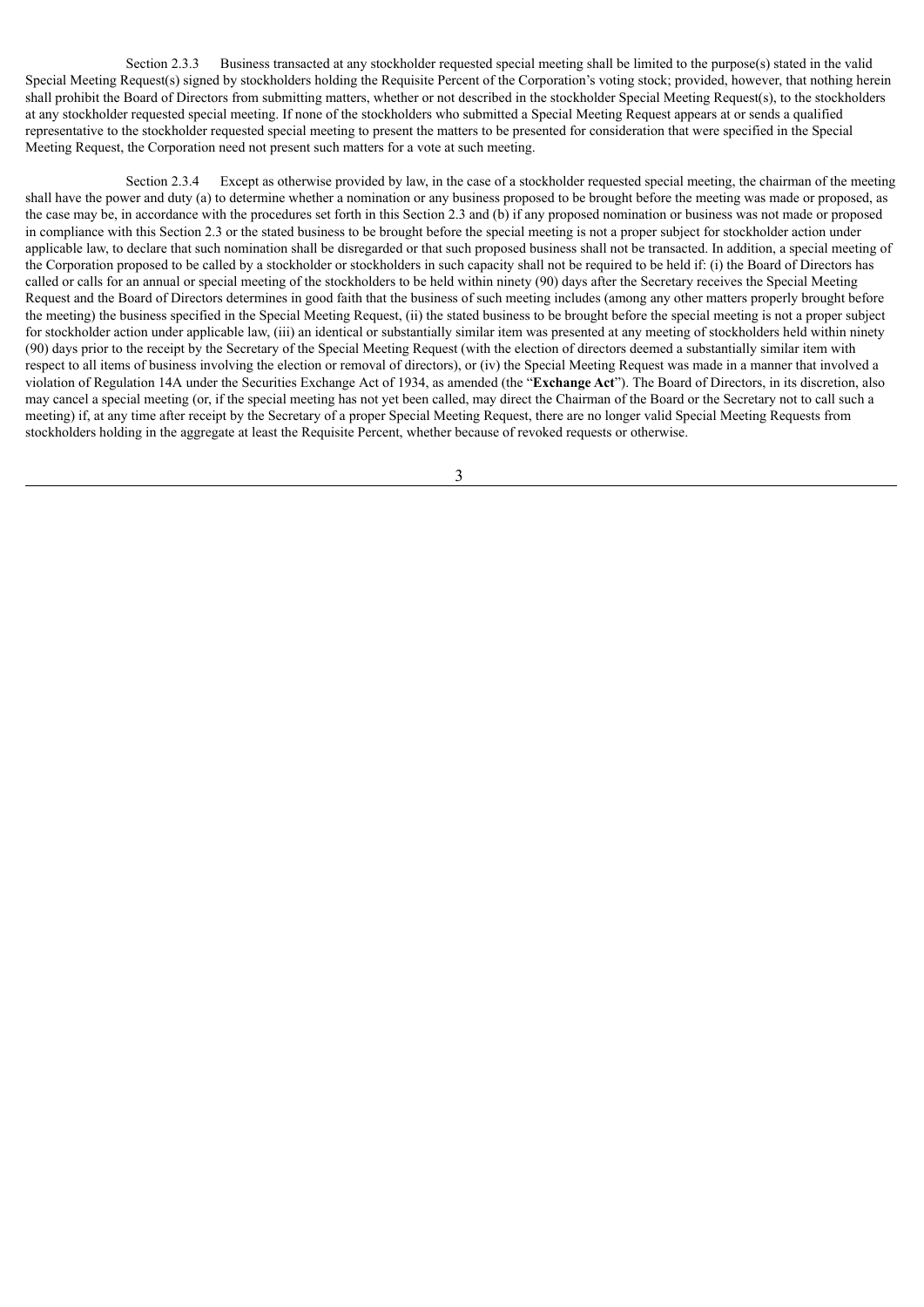Section 2.3.3 Business transacted at any stockholder requested special meeting shall be limited to the purpose(s) stated in the valid Special Meeting Request(s) signed by stockholders holding the Requisite Percent of the Corporation's voting stock; provided, however, that nothing herein shall prohibit the Board of Directors from submitting matters, whether or not described in the stockholder Special Meeting Request(s), to the stockholders at any stockholder requested special meeting. If none of the stockholders who submitted a Special Meeting Request appears at or sends a qualified representative to the stockholder requested special meeting to present the matters to be presented for consideration that were specified in the Special Meeting Request, the Corporation need not present such matters for a vote at such meeting.

Section 2.3.4 Except as otherwise provided by law, in the case of a stockholder requested special meeting, the chairman of the meeting shall have the power and duty (a) to determine whether a nomination or any business proposed to be brought before the meeting was made or proposed, as the case may be, in accordance with the procedures set forth in this Section 2.3 and (b) if any proposed nomination or business was not made or proposed in compliance with this Section 2.3 or the stated business to be brought before the special meeting is not a proper subject for stockholder action under applicable law, to declare that such nomination shall be disregarded or that such proposed business shall not be transacted. In addition, a special meeting of the Corporation proposed to be called by a stockholder or stockholders in such capacity shall not be required to be held if: (i) the Board of Directors has called or calls for an annual or special meeting of the stockholders to be held within ninety (90) days after the Secretary receives the Special Meeting Request and the Board of Directors determines in good faith that the business of such meeting includes (among any other matters properly brought before the meeting) the business specified in the Special Meeting Request, (ii) the stated business to be brought before the special meeting is not a proper subject for stockholder action under applicable law, (iii) an identical or substantially similar item was presented at any meeting of stockholders held within ninety (90) days prior to the receipt by the Secretary of the Special Meeting Request (with the election of directors deemed a substantially similar item with respect to all items of business involving the election or removal of directors), or (iv) the Special Meeting Request was made in a manner that involved a violation of Regulation 14A under the Securities Exchange Act of 1934, as amended (the "**Exchange Act**"). The Board of Directors, in its discretion, also may cancel a special meeting (or, if the special meeting has not yet been called, may direct the Chairman of the Board or the Secretary not to call such a meeting) if, at any time after receipt by the Secretary of a proper Special Meeting Request, there are no longer valid Special Meeting Requests from stockholders holding in the aggregate at least the Requisite Percent, whether because of revoked requests or otherwise.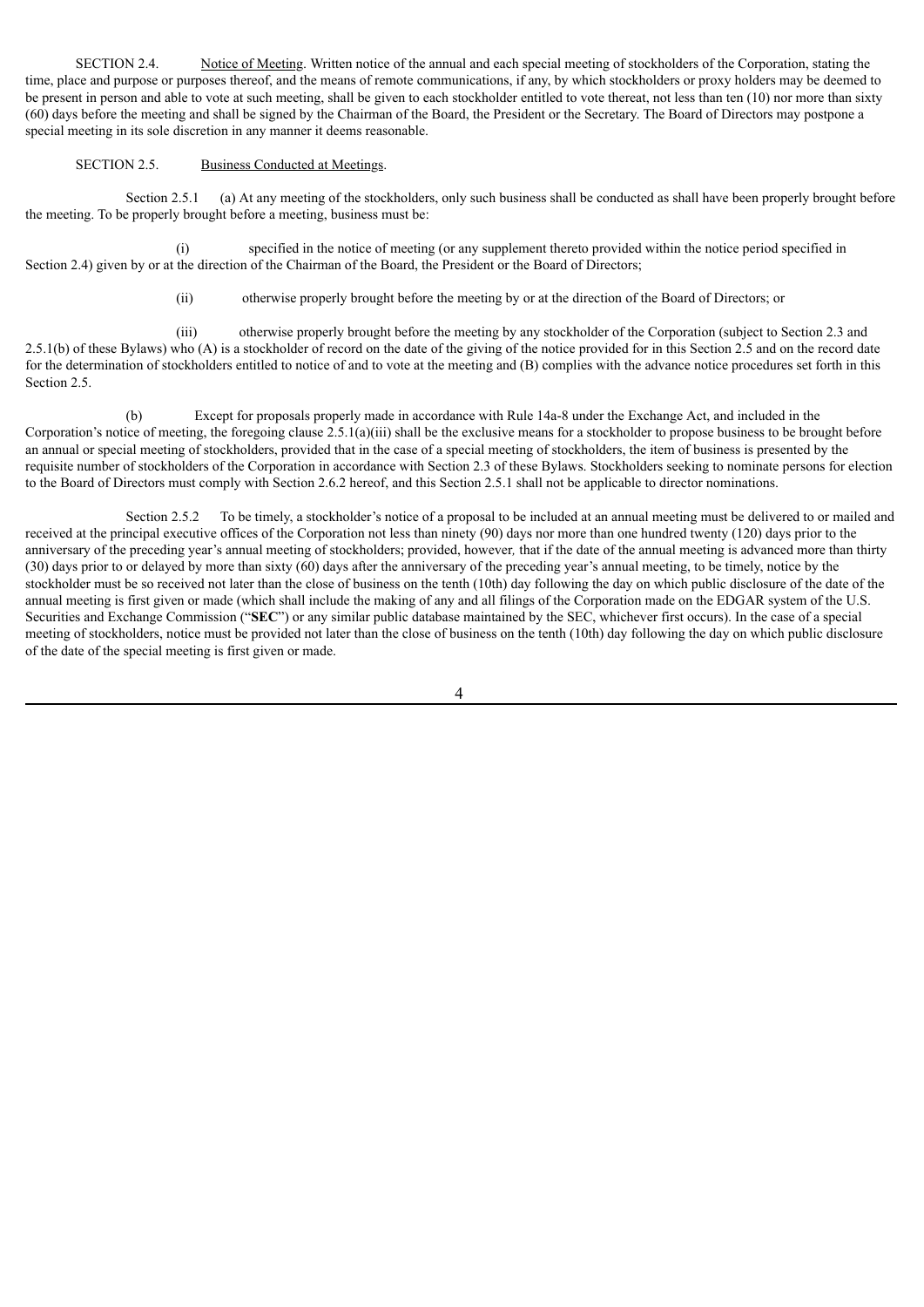SECTION 2.4. Notice of Meeting. Written notice of the annual and each special meeting of stockholders of the Corporation, stating the time, place and purpose or purposes thereof, and the means of remote communications, if any, by which stockholders or proxy holders may be deemed to be present in person and able to vote at such meeting, shall be given to each stockholder entitled to vote thereat, not less than ten (10) nor more than sixty (60) days before the meeting and shall be signed by the Chairman of the Board, the President or the Secretary. The Board of Directors may postpone a special meeting in its sole discretion in any manner it deems reasonable.

# SECTION 2.5. Business Conducted at Meetings.

Section 2.5.1 (a) At any meeting of the stockholders, only such business shall be conducted as shall have been properly brought before the meeting. To be properly brought before a meeting, business must be:

(i) specified in the notice of meeting (or any supplement thereto provided within the notice period specified in Section 2.4) given by or at the direction of the Chairman of the Board, the President or the Board of Directors;

(ii) otherwise properly brought before the meeting by or at the direction of the Board of Directors; or

(iii) otherwise properly brought before the meeting by any stockholder of the Corporation (subject to Section 2.3 and 2.5.1(b) of these Bylaws) who (A) is a stockholder of record on the date of the giving of the notice provided for in this Section 2.5 and on the record date for the determination of stockholders entitled to notice of and to vote at the meeting and (B) complies with the advance notice procedures set forth in this Section 2.5.

(b) Except for proposals properly made in accordance with Rule 14a-8 under the Exchange Act, and included in the Corporation's notice of meeting, the foregoing clause 2.5.1(a)(iii) shall be the exclusive means for a stockholder to propose business to be brought before an annual or special meeting of stockholders, provided that in the case of a special meeting of stockholders, the item of business is presented by the requisite number of stockholders of the Corporation in accordance with Section 2.3 of these Bylaws. Stockholders seeking to nominate persons for election to the Board of Directors must comply with Section 2.6.2 hereof, and this Section 2.5.1 shall not be applicable to director nominations.

Section 2.5.2 To be timely, a stockholder's notice of a proposal to be included at an annual meeting must be delivered to or mailed and received at the principal executive offices of the Corporation not less than ninety (90) days nor more than one hundred twenty (120) days prior to the anniversary of the preceding year's annual meeting of stockholders; provided, however*,* that if the date of the annual meeting is advanced more than thirty (30) days prior to or delayed by more than sixty (60) days after the anniversary of the preceding year's annual meeting, to be timely, notice by the stockholder must be so received not later than the close of business on the tenth (10th) day following the day on which public disclosure of the date of the annual meeting is first given or made (which shall include the making of any and all filings of the Corporation made on the EDGAR system of the U.S. Securities and Exchange Commission ("**SEC**") or any similar public database maintained by the SEC, whichever first occurs). In the case of a special meeting of stockholders, notice must be provided not later than the close of business on the tenth (10th) day following the day on which public disclosure of the date of the special meeting is first given or made.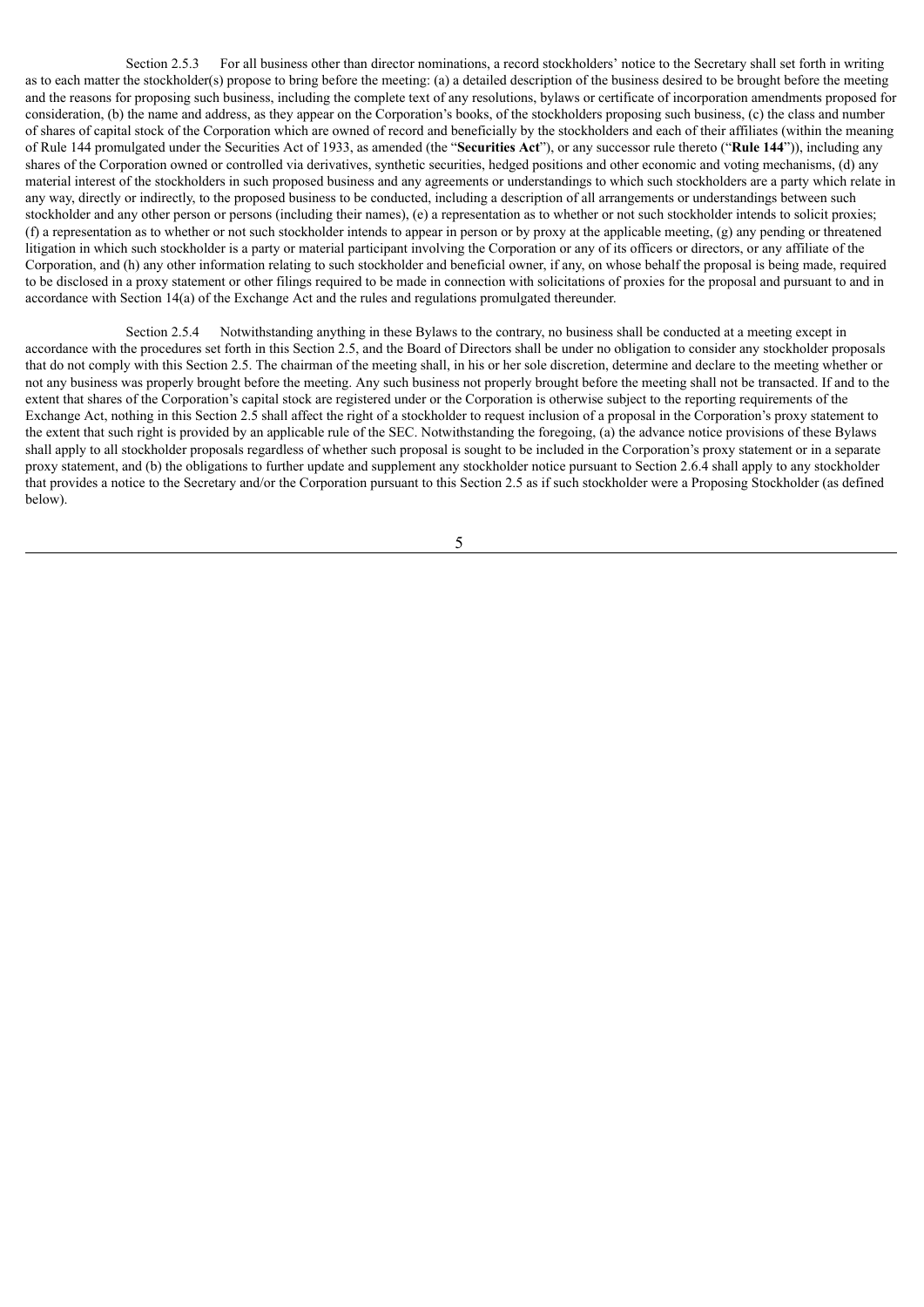Section 2.5.3 For all business other than director nominations, a record stockholders' notice to the Secretary shall set forth in writing as to each matter the stockholder(s) propose to bring before the meeting: (a) a detailed description of the business desired to be brought before the meeting and the reasons for proposing such business, including the complete text of any resolutions, bylaws or certificate of incorporation amendments proposed for consideration, (b) the name and address, as they appear on the Corporation's books, of the stockholders proposing such business, (c) the class and number of shares of capital stock of the Corporation which are owned of record and beneficially by the stockholders and each of their affiliates (within the meaning of Rule 144 promulgated under the Securities Act of 1933, as amended (the "**Securities Act**"), or any successor rule thereto ("**Rule 144**")), including any shares of the Corporation owned or controlled via derivatives, synthetic securities, hedged positions and other economic and voting mechanisms, (d) any material interest of the stockholders in such proposed business and any agreements or understandings to which such stockholders are a party which relate in any way, directly or indirectly, to the proposed business to be conducted, including a description of all arrangements or understandings between such stockholder and any other person or persons (including their names), (e) a representation as to whether or not such stockholder intends to solicit proxies; (f) a representation as to whether or not such stockholder intends to appear in person or by proxy at the applicable meeting, (g) any pending or threatened litigation in which such stockholder is a party or material participant involving the Corporation or any of its officers or directors, or any affiliate of the Corporation, and (h) any other information relating to such stockholder and beneficial owner, if any, on whose behalf the proposal is being made, required to be disclosed in a proxy statement or other filings required to be made in connection with solicitations of proxies for the proposal and pursuant to and in accordance with Section 14(a) of the Exchange Act and the rules and regulations promulgated thereunder.

Section 2.5.4 Notwithstanding anything in these Bylaws to the contrary, no business shall be conducted at a meeting except in accordance with the procedures set forth in this Section 2.5, and the Board of Directors shall be under no obligation to consider any stockholder proposals that do not comply with this Section 2.5. The chairman of the meeting shall, in his or her sole discretion, determine and declare to the meeting whether or not any business was properly brought before the meeting. Any such business not properly brought before the meeting shall not be transacted. If and to the extent that shares of the Corporation's capital stock are registered under or the Corporation is otherwise subject to the reporting requirements of the Exchange Act, nothing in this Section 2.5 shall affect the right of a stockholder to request inclusion of a proposal in the Corporation's proxy statement to the extent that such right is provided by an applicable rule of the SEC. Notwithstanding the foregoing, (a) the advance notice provisions of these Bylaws shall apply to all stockholder proposals regardless of whether such proposal is sought to be included in the Corporation's proxy statement or in a separate proxy statement, and (b) the obligations to further update and supplement any stockholder notice pursuant to Section 2.6.4 shall apply to any stockholder that provides a notice to the Secretary and/or the Corporation pursuant to this Section 2.5 as if such stockholder were a Proposing Stockholder (as defined below).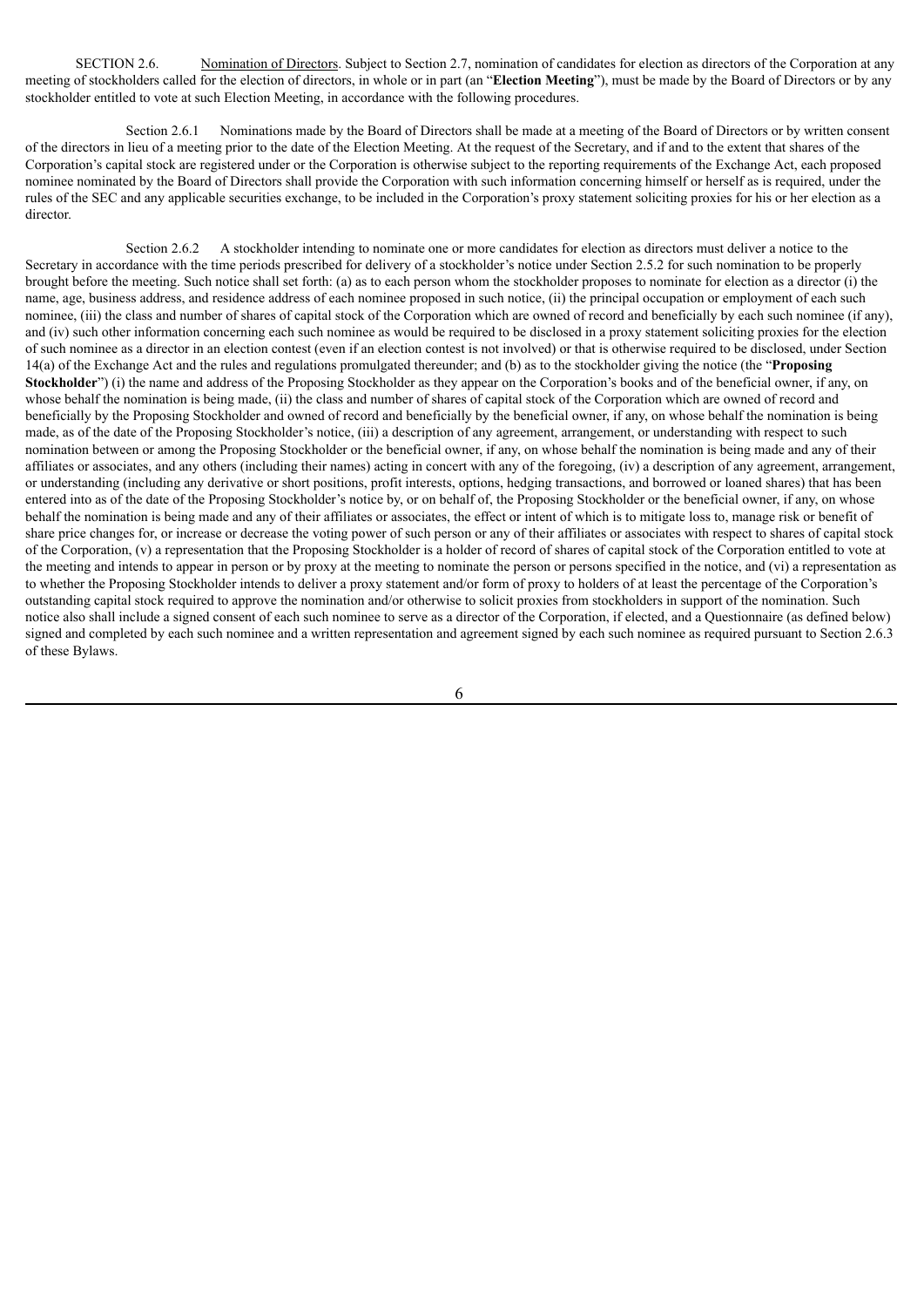SECTION 2.6. Nomination of Directors. Subject to Section 2.7, nomination of candidates for election as directors of the Corporation at any meeting of stockholders called for the election of directors, in whole or in part (an "**Election Meeting**"), must be made by the Board of Directors or by any stockholder entitled to vote at such Election Meeting, in accordance with the following procedures.

Section 2.6.1 Nominations made by the Board of Directors shall be made at a meeting of the Board of Directors or by written consent of the directors in lieu of a meeting prior to the date of the Election Meeting. At the request of the Secretary, and if and to the extent that shares of the Corporation's capital stock are registered under or the Corporation is otherwise subject to the reporting requirements of the Exchange Act, each proposed nominee nominated by the Board of Directors shall provide the Corporation with such information concerning himself or herself as is required, under the rules of the SEC and any applicable securities exchange, to be included in the Corporation's proxy statement soliciting proxies for his or her election as a director.

Section 2.6.2 A stockholder intending to nominate one or more candidates for election as directors must deliver a notice to the Secretary in accordance with the time periods prescribed for delivery of a stockholder's notice under Section 2.5.2 for such nomination to be properly brought before the meeting. Such notice shall set forth: (a) as to each person whom the stockholder proposes to nominate for election as a director (i) the name, age, business address, and residence address of each nominee proposed in such notice, (ii) the principal occupation or employment of each such nominee, (iii) the class and number of shares of capital stock of the Corporation which are owned of record and beneficially by each such nominee (if any), and (iv) such other information concerning each such nominee as would be required to be disclosed in a proxy statement soliciting proxies for the election of such nominee as a director in an election contest (even if an election contest is not involved) or that is otherwise required to be disclosed, under Section 14(a) of the Exchange Act and the rules and regulations promulgated thereunder; and (b) as to the stockholder giving the notice (the "**Proposing Stockholder**") (i) the name and address of the Proposing Stockholder as they appear on the Corporation's books and of the beneficial owner, if any, on whose behalf the nomination is being made, (ii) the class and number of shares of capital stock of the Corporation which are owned of record and beneficially by the Proposing Stockholder and owned of record and beneficially by the beneficial owner, if any, on whose behalf the nomination is being made, as of the date of the Proposing Stockholder's notice, (iii) a description of any agreement, arrangement, or understanding with respect to such nomination between or among the Proposing Stockholder or the beneficial owner, if any, on whose behalf the nomination is being made and any of their affiliates or associates, and any others (including their names) acting in concert with any of the foregoing, (iv) a description of any agreement, arrangement, or understanding (including any derivative or short positions, profit interests, options, hedging transactions, and borrowed or loaned shares) that has been entered into as of the date of the Proposing Stockholder's notice by, or on behalf of, the Proposing Stockholder or the beneficial owner, if any, on whose behalf the nomination is being made and any of their affiliates or associates, the effect or intent of which is to mitigate loss to, manage risk or benefit of share price changes for, or increase or decrease the voting power of such person or any of their affiliates or associates with respect to shares of capital stock of the Corporation, (v) a representation that the Proposing Stockholder is a holder of record of shares of capital stock of the Corporation entitled to vote at the meeting and intends to appear in person or by proxy at the meeting to nominate the person or persons specified in the notice, and (vi) a representation as to whether the Proposing Stockholder intends to deliver a proxy statement and/or form of proxy to holders of at least the percentage of the Corporation's outstanding capital stock required to approve the nomination and/or otherwise to solicit proxies from stockholders in support of the nomination. Such notice also shall include a signed consent of each such nominee to serve as a director of the Corporation, if elected, and a Questionnaire (as defined below) signed and completed by each such nominee and a written representation and agreement signed by each such nominee as required pursuant to Section 2.6.3 of these Bylaws.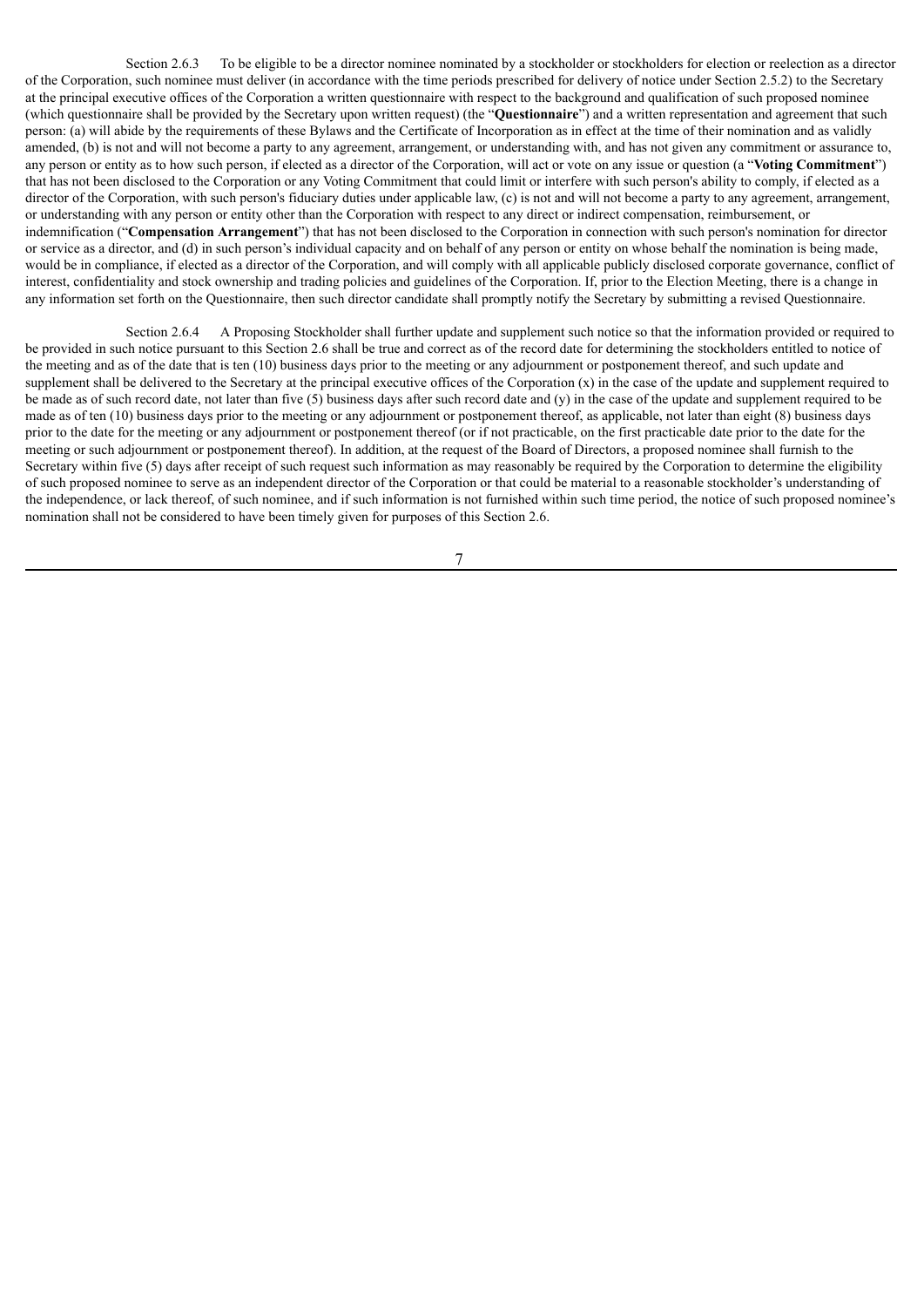Section 2.6.3 To be eligible to be a director nominee nominated by a stockholder or stockholders for election or reelection as a director of the Corporation, such nominee must deliver (in accordance with the time periods prescribed for delivery of notice under Section 2.5.2) to the Secretary at the principal executive offices of the Corporation a written questionnaire with respect to the background and qualification of such proposed nominee (which questionnaire shall be provided by the Secretary upon written request) (the "**Questionnaire**") and a written representation and agreement that such person: (a) will abide by the requirements of these Bylaws and the Certificate of Incorporation as in effect at the time of their nomination and as validly amended, (b) is not and will not become a party to any agreement, arrangement, or understanding with, and has not given any commitment or assurance to, any person or entity as to how such person, if elected as a director of the Corporation, will act or vote on any issue or question (a "**Voting Commitment**") that has not been disclosed to the Corporation or any Voting Commitment that could limit or interfere with such person's ability to comply, if elected as a director of the Corporation, with such person's fiduciary duties under applicable law, (c) is not and will not become a party to any agreement, arrangement, or understanding with any person or entity other than the Corporation with respect to any direct or indirect compensation, reimbursement, or indemnification ("**Compensation Arrangement**") that has not been disclosed to the Corporation in connection with such person's nomination for director or service as a director, and (d) in such person's individual capacity and on behalf of any person or entity on whose behalf the nomination is being made, would be in compliance, if elected as a director of the Corporation, and will comply with all applicable publicly disclosed corporate governance, conflict of interest, confidentiality and stock ownership and trading policies and guidelines of the Corporation. If, prior to the Election Meeting, there is a change in any information set forth on the Questionnaire, then such director candidate shall promptly notify the Secretary by submitting a revised Questionnaire.

Section 2.6.4 A Proposing Stockholder shall further update and supplement such notice so that the information provided or required to be provided in such notice pursuant to this Section 2.6 shall be true and correct as of the record date for determining the stockholders entitled to notice of the meeting and as of the date that is ten (10) business days prior to the meeting or any adjournment or postponement thereof, and such update and supplement shall be delivered to the Secretary at the principal executive offices of the Corporation (x) in the case of the update and supplement required to be made as of such record date, not later than five (5) business days after such record date and (y) in the case of the update and supplement required to be made as of ten (10) business days prior to the meeting or any adjournment or postponement thereof, as applicable, not later than eight (8) business days prior to the date for the meeting or any adjournment or postponement thereof (or if not practicable, on the first practicable date prior to the date for the meeting or such adjournment or postponement thereof). In addition, at the request of the Board of Directors, a proposed nominee shall furnish to the Secretary within five (5) days after receipt of such request such information as may reasonably be required by the Corporation to determine the eligibility of such proposed nominee to serve as an independent director of the Corporation or that could be material to a reasonable stockholder's understanding of the independence, or lack thereof, of such nominee, and if such information is not furnished within such time period, the notice of such proposed nominee's nomination shall not be considered to have been timely given for purposes of this Section 2.6.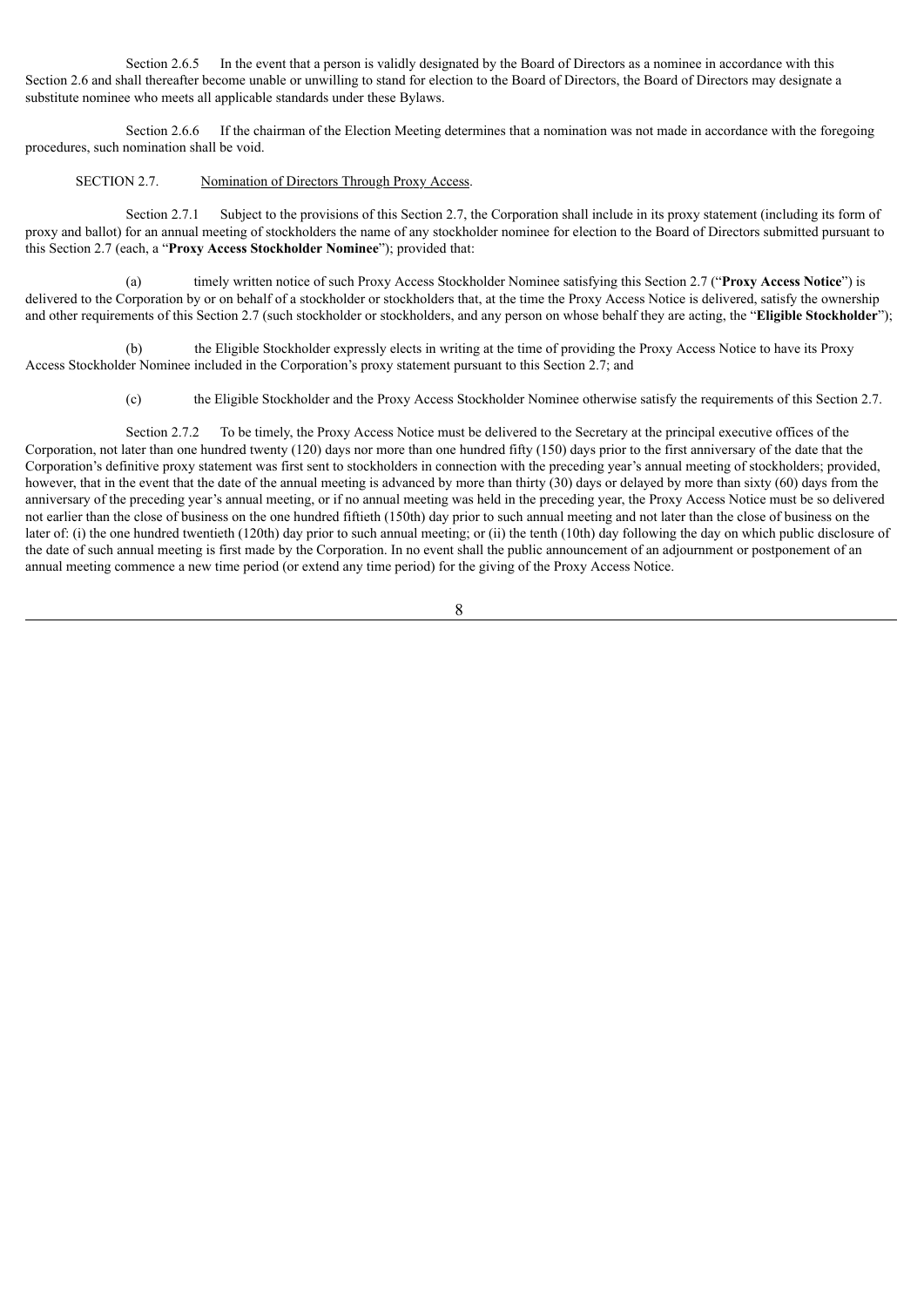Section 2.6.5 In the event that a person is validly designated by the Board of Directors as a nominee in accordance with this Section 2.6 and shall thereafter become unable or unwilling to stand for election to the Board of Directors, the Board of Directors may designate a substitute nominee who meets all applicable standards under these Bylaws.

Section 2.6.6 If the chairman of the Election Meeting determines that a nomination was not made in accordance with the foregoing procedures, such nomination shall be void.

#### SECTION 2.7. Nomination of Directors Through Proxy Access.

Section 2.7.1 Subject to the provisions of this Section 2.7, the Corporation shall include in its proxy statement (including its form of proxy and ballot) for an annual meeting of stockholders the name of any stockholder nominee for election to the Board of Directors submitted pursuant to this Section 2.7 (each, a "**Proxy Access Stockholder Nominee**"); provided that:

(a) timely written notice of such Proxy Access Stockholder Nominee satisfying this Section 2.7 ("**Proxy Access Notice**") is delivered to the Corporation by or on behalf of a stockholder or stockholders that, at the time the Proxy Access Notice is delivered, satisfy the ownership and other requirements of this Section 2.7 (such stockholder or stockholders, and any person on whose behalf they are acting, the "**Eligible Stockholder**");

(b) the Eligible Stockholder expressly elects in writing at the time of providing the Proxy Access Notice to have its Proxy Access Stockholder Nominee included in the Corporation's proxy statement pursuant to this Section 2.7; and

(c) the Eligible Stockholder and the Proxy Access Stockholder Nominee otherwise satisfy the requirements of this Section 2.7.

Section 2.7.2 To be timely, the Proxy Access Notice must be delivered to the Secretary at the principal executive offices of the Corporation, not later than one hundred twenty (120) days nor more than one hundred fifty (150) days prior to the first anniversary of the date that the Corporation's definitive proxy statement was first sent to stockholders in connection with the preceding year's annual meeting of stockholders; provided, however, that in the event that the date of the annual meeting is advanced by more than thirty (30) days or delayed by more than sixty (60) days from the anniversary of the preceding year's annual meeting, or if no annual meeting was held in the preceding year, the Proxy Access Notice must be so delivered not earlier than the close of business on the one hundred fiftieth (150th) day prior to such annual meeting and not later than the close of business on the later of: (i) the one hundred twentieth (120th) day prior to such annual meeting; or (ii) the tenth (10th) day following the day on which public disclosure of the date of such annual meeting is first made by the Corporation. In no event shall the public announcement of an adjournment or postponement of an annual meeting commence a new time period (or extend any time period) for the giving of the Proxy Access Notice.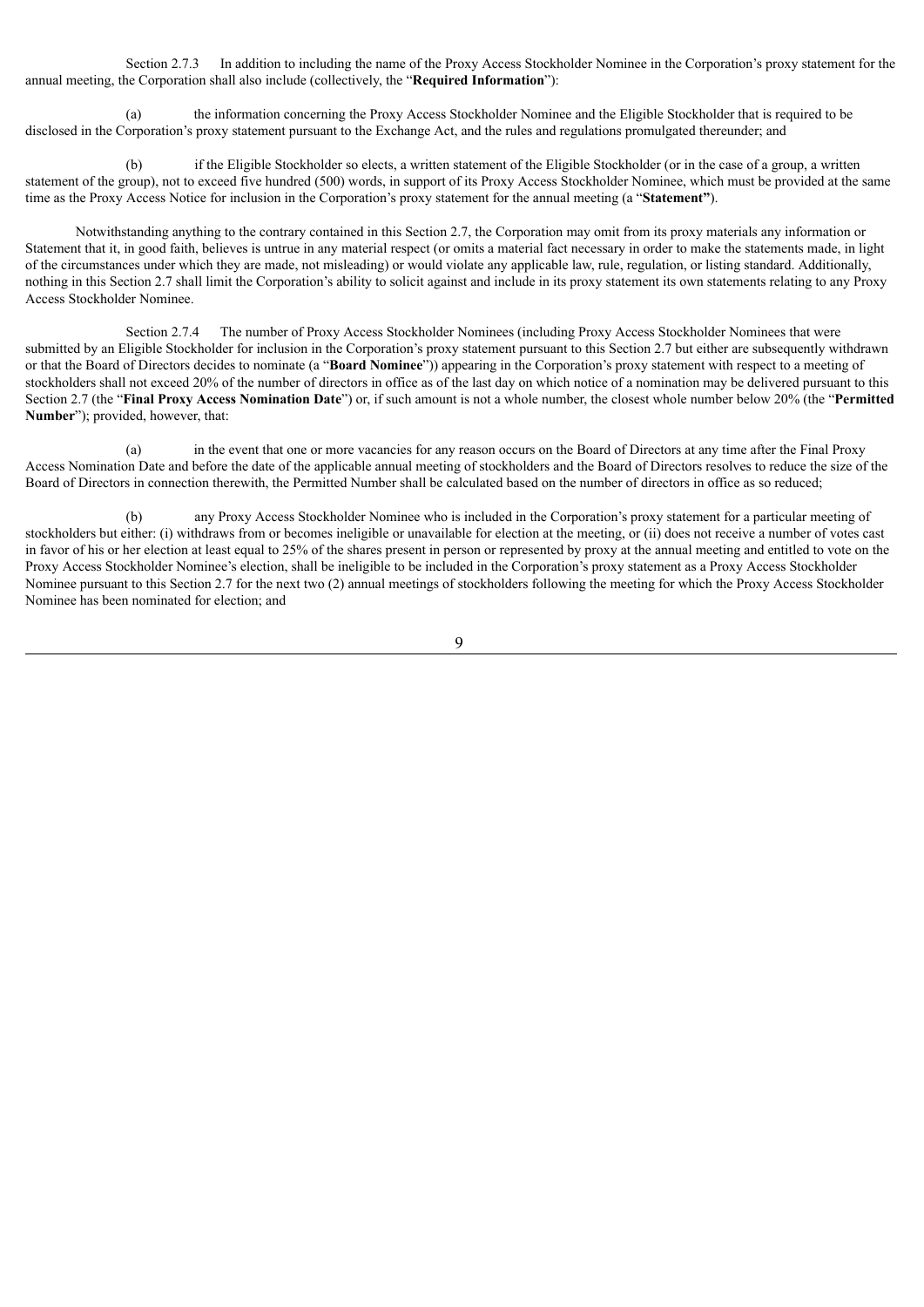Section 2.7.3 In addition to including the name of the Proxy Access Stockholder Nominee in the Corporation's proxy statement for the annual meeting, the Corporation shall also include (collectively, the "**Required Information**"):

(a) the information concerning the Proxy Access Stockholder Nominee and the Eligible Stockholder that is required to be disclosed in the Corporation's proxy statement pursuant to the Exchange Act, and the rules and regulations promulgated thereunder; and

If the Eligible Stockholder so elects, a written statement of the Eligible Stockholder (or in the case of a group, a written statement of the group), not to exceed five hundred (500) words, in support of its Proxy Access Stockholder Nominee, which must be provided at the same time as the Proxy Access Notice for inclusion in the Corporation's proxy statement for the annual meeting (a "**Statement"**).

Notwithstanding anything to the contrary contained in this Section 2.7, the Corporation may omit from its proxy materials any information or Statement that it, in good faith, believes is untrue in any material respect (or omits a material fact necessary in order to make the statements made, in light of the circumstances under which they are made, not misleading) or would violate any applicable law, rule, regulation, or listing standard. Additionally, nothing in this Section 2.7 shall limit the Corporation's ability to solicit against and include in its proxy statement its own statements relating to any Proxy Access Stockholder Nominee.

Section 2.7.4 The number of Proxy Access Stockholder Nominees (including Proxy Access Stockholder Nominees that were submitted by an Eligible Stockholder for inclusion in the Corporation's proxy statement pursuant to this Section 2.7 but either are subsequently withdrawn or that the Board of Directors decides to nominate (a "**Board Nominee**")) appearing in the Corporation's proxy statement with respect to a meeting of stockholders shall not exceed 20% of the number of directors in office as of the last day on which notice of a nomination may be delivered pursuant to this Section 2.7 (the "**Final Proxy Access Nomination Date**") or, if such amount is not a whole number, the closest whole number below 20% (the "**Permitted Number**"); provided, however, that:

(a) in the event that one or more vacancies for any reason occurs on the Board of Directors at any time after the Final Proxy Access Nomination Date and before the date of the applicable annual meeting of stockholders and the Board of Directors resolves to reduce the size of the Board of Directors in connection therewith, the Permitted Number shall be calculated based on the number of directors in office as so reduced;

any Proxy Access Stockholder Nominee who is included in the Corporation's proxy statement for a particular meeting of stockholders but either: (i) withdraws from or becomes ineligible or unavailable for election at the meeting, or (ii) does not receive a number of votes cast in favor of his or her election at least equal to 25% of the shares present in person or represented by proxy at the annual meeting and entitled to vote on the Proxy Access Stockholder Nominee's election, shall be ineligible to be included in the Corporation's proxy statement as a Proxy Access Stockholder Nominee pursuant to this Section 2.7 for the next two (2) annual meetings of stockholders following the meeting for which the Proxy Access Stockholder Nominee has been nominated for election; and

 $\overline{Q}$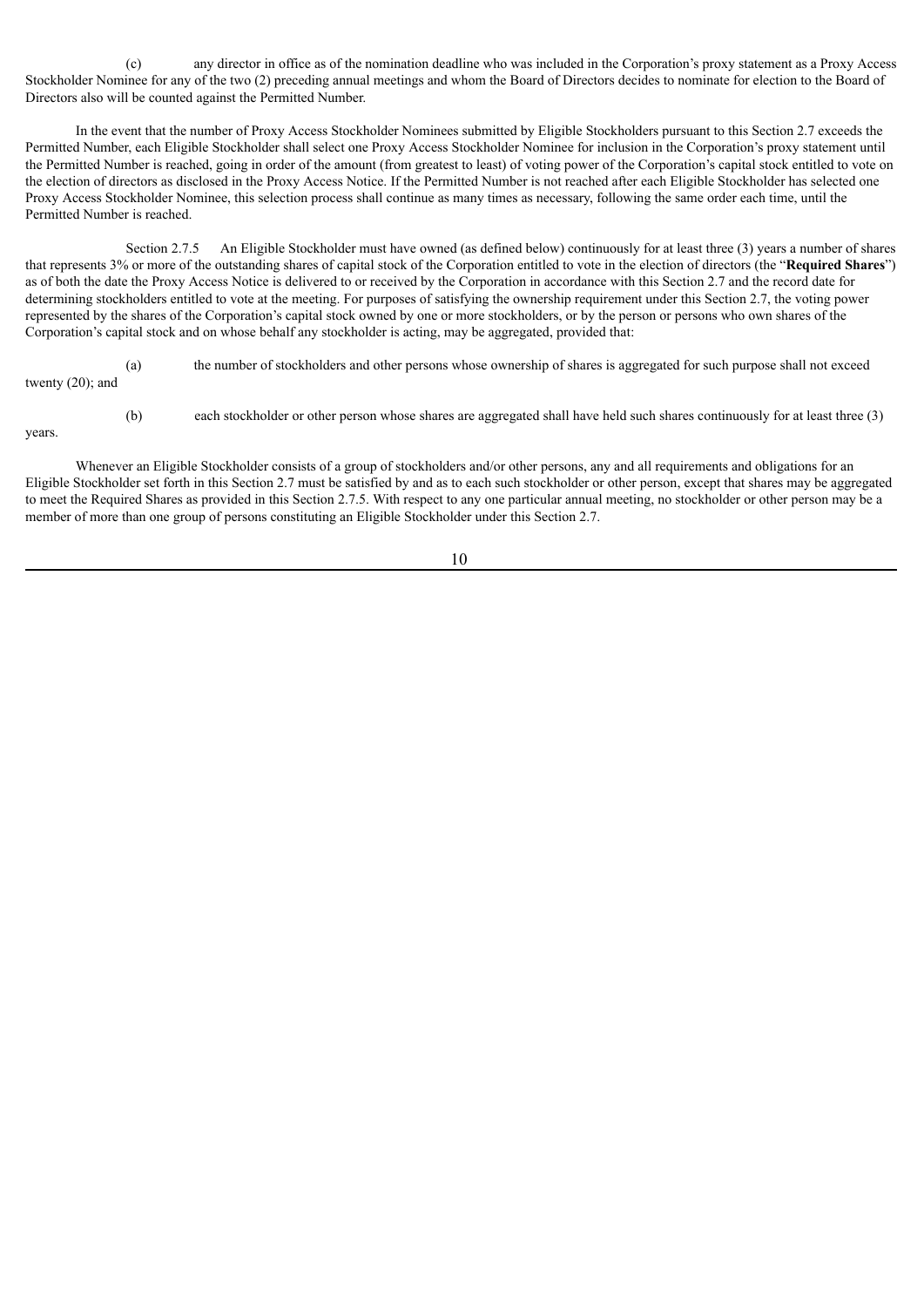(c) any director in office as of the nomination deadline who was included in the Corporation's proxy statement as a Proxy Access Stockholder Nominee for any of the two (2) preceding annual meetings and whom the Board of Directors decides to nominate for election to the Board of Directors also will be counted against the Permitted Number.

In the event that the number of Proxy Access Stockholder Nominees submitted by Eligible Stockholders pursuant to this Section 2.7 exceeds the Permitted Number, each Eligible Stockholder shall select one Proxy Access Stockholder Nominee for inclusion in the Corporation's proxy statement until the Permitted Number is reached, going in order of the amount (from greatest to least) of voting power of the Corporation's capital stock entitled to vote on the election of directors as disclosed in the Proxy Access Notice. If the Permitted Number is not reached after each Eligible Stockholder has selected one Proxy Access Stockholder Nominee, this selection process shall continue as many times as necessary, following the same order each time, until the Permitted Number is reached.

Section 2.7.5 An Eligible Stockholder must have owned (as defined below) continuously for at least three (3) years a number of shares that represents 3% or more of the outstanding shares of capital stock of the Corporation entitled to vote in the election of directors (the "**Required Shares**") as of both the date the Proxy Access Notice is delivered to or received by the Corporation in accordance with this Section 2.7 and the record date for determining stockholders entitled to vote at the meeting. For purposes of satisfying the ownership requirement under this Section 2.7, the voting power represented by the shares of the Corporation's capital stock owned by one or more stockholders, or by the person or persons who own shares of the Corporation's capital stock and on whose behalf any stockholder is acting, may be aggregated, provided that:

(a) the number of stockholders and other persons whose ownership of shares is aggregated for such purpose shall not exceed twenty (20); and

(b) each stockholder or other person whose shares are aggregated shall have held such shares continuously for at least three (3)

### years.

Whenever an Eligible Stockholder consists of a group of stockholders and/or other persons, any and all requirements and obligations for an Eligible Stockholder set forth in this Section 2.7 must be satisfied by and as to each such stockholder or other person, except that shares may be aggregated to meet the Required Shares as provided in this Section 2.7.5. With respect to any one particular annual meeting, no stockholder or other person may be a member of more than one group of persons constituting an Eligible Stockholder under this Section 2.7.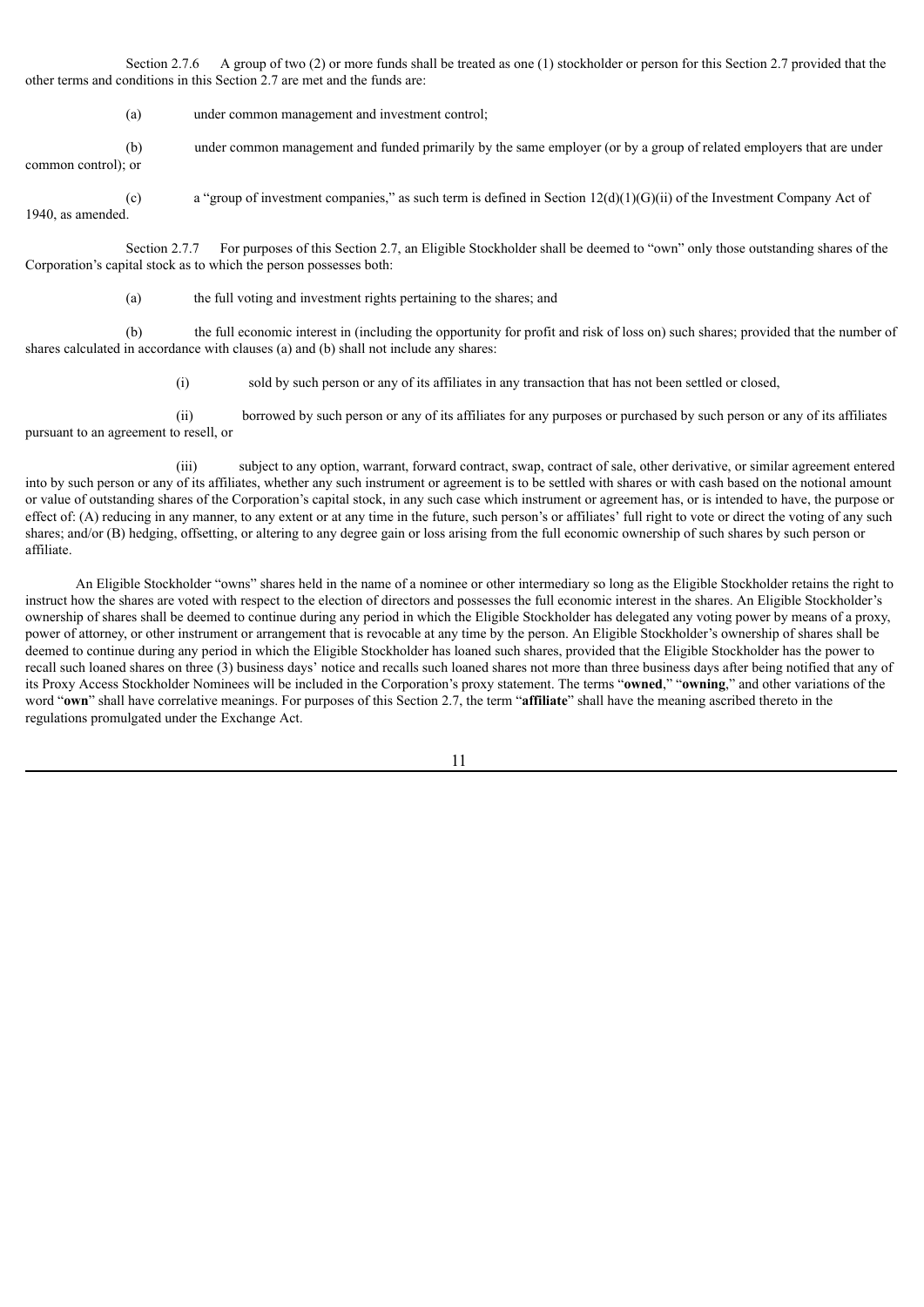Section 2.7.6 A group of two (2) or more funds shall be treated as one (1) stockholder or person for this Section 2.7 provided that the other terms and conditions in this Section 2.7 are met and the funds are:

(a) under common management and investment control;

(b) under common management and funded primarily by the same employer (or by a group of related employers that are under common control); or

(c) a "group of investment companies," as such term is defined in Section  $12(d)(1)(G)(ii)$  of the Investment Company Act of 1940, as amended.

Section 2.7.7 For purposes of this Section 2.7, an Eligible Stockholder shall be deemed to "own" only those outstanding shares of the Corporation's capital stock as to which the person possesses both:

(a) the full voting and investment rights pertaining to the shares; and

(b) the full economic interest in (including the opportunity for profit and risk of loss on) such shares; provided that the number of shares calculated in accordance with clauses (a) and (b) shall not include any shares:

(i) sold by such person or any of its affiliates in any transaction that has not been settled or closed,

(ii) borrowed by such person or any of its affiliates for any purposes or purchased by such person or any of its affiliates pursuant to an agreement to resell, or

(iii) subject to any option, warrant, forward contract, swap, contract of sale, other derivative, or similar agreement entered into by such person or any of its affiliates, whether any such instrument or agreement is to be settled with shares or with cash based on the notional amount or value of outstanding shares of the Corporation's capital stock, in any such case which instrument or agreement has, or is intended to have, the purpose or effect of: (A) reducing in any manner, to any extent or at any time in the future, such person's or affiliates' full right to vote or direct the voting of any such shares; and/or (B) hedging, offsetting, or altering to any degree gain or loss arising from the full economic ownership of such shares by such person or affiliate.

An Eligible Stockholder "owns" shares held in the name of a nominee or other intermediary so long as the Eligible Stockholder retains the right to instruct how the shares are voted with respect to the election of directors and possesses the full economic interest in the shares. An Eligible Stockholder's ownership of shares shall be deemed to continue during any period in which the Eligible Stockholder has delegated any voting power by means of a proxy, power of attorney, or other instrument or arrangement that is revocable at any time by the person. An Eligible Stockholder's ownership of shares shall be deemed to continue during any period in which the Eligible Stockholder has loaned such shares, provided that the Eligible Stockholder has the power to recall such loaned shares on three (3) business days' notice and recalls such loaned shares not more than three business days after being notified that any of its Proxy Access Stockholder Nominees will be included in the Corporation's proxy statement. The terms "**owned**," "**owning**," and other variations of the word "**own**" shall have correlative meanings. For purposes of this Section 2.7, the term "**affiliate**" shall have the meaning ascribed thereto in the regulations promulgated under the Exchange Act.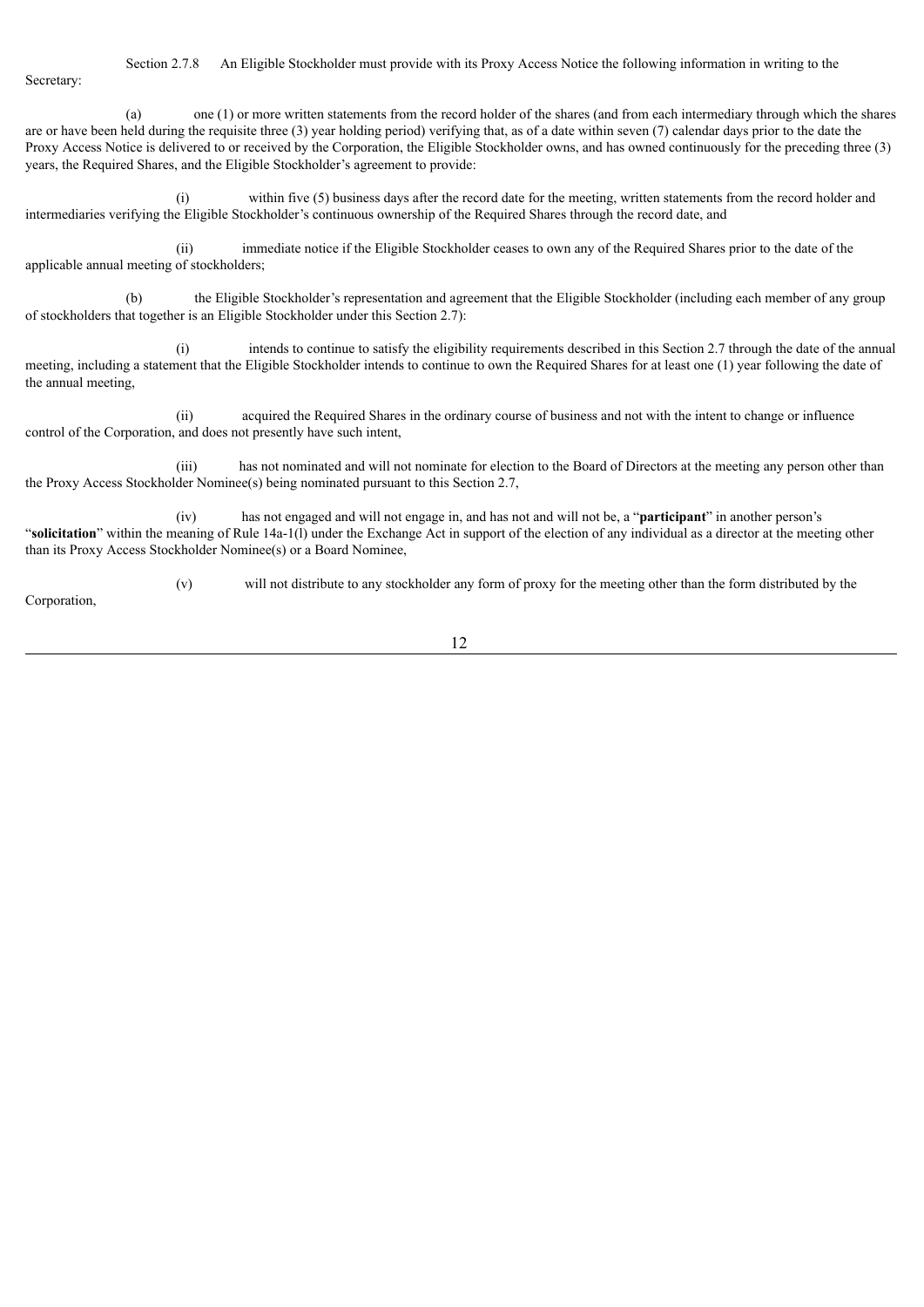Section 2.7.8 An Eligible Stockholder must provide with its Proxy Access Notice the following information in writing to the Secretary:

(a) one (1) or more written statements from the record holder of the shares (and from each intermediary through which the shares are or have been held during the requisite three (3) year holding period) verifying that, as of a date within seven (7) calendar days prior to the date the Proxy Access Notice is delivered to or received by the Corporation, the Eligible Stockholder owns, and has owned continuously for the preceding three (3) years, the Required Shares, and the Eligible Stockholder's agreement to provide:

(i) within five (5) business days after the record date for the meeting, written statements from the record holder and intermediaries verifying the Eligible Stockholder's continuous ownership of the Required Shares through the record date, and

(ii) immediate notice if the Eligible Stockholder ceases to own any of the Required Shares prior to the date of the applicable annual meeting of stockholders;

(b) the Eligible Stockholder's representation and agreement that the Eligible Stockholder (including each member of any group of stockholders that together is an Eligible Stockholder under this Section 2.7):

(i) intends to continue to satisfy the eligibility requirements described in this Section 2.7 through the date of the annual meeting, including a statement that the Eligible Stockholder intends to continue to own the Required Shares for at least one (1) year following the date of the annual meeting,

(ii) acquired the Required Shares in the ordinary course of business and not with the intent to change or influence control of the Corporation, and does not presently have such intent,

(iii) has not nominated and will not nominate for election to the Board of Directors at the meeting any person other than the Proxy Access Stockholder Nominee(s) being nominated pursuant to this Section 2.7,

(iv) has not engaged and will not engage in, and has not and will not be, a "**participant**" in another person's "**solicitation**" within the meaning of Rule 14a-1(l) under the Exchange Act in support of the election of any individual as a director at the meeting other than its Proxy Access Stockholder Nominee(s) or a Board Nominee,

Corporation,

(v) will not distribute to any stockholder any form of proxy for the meeting other than the form distributed by the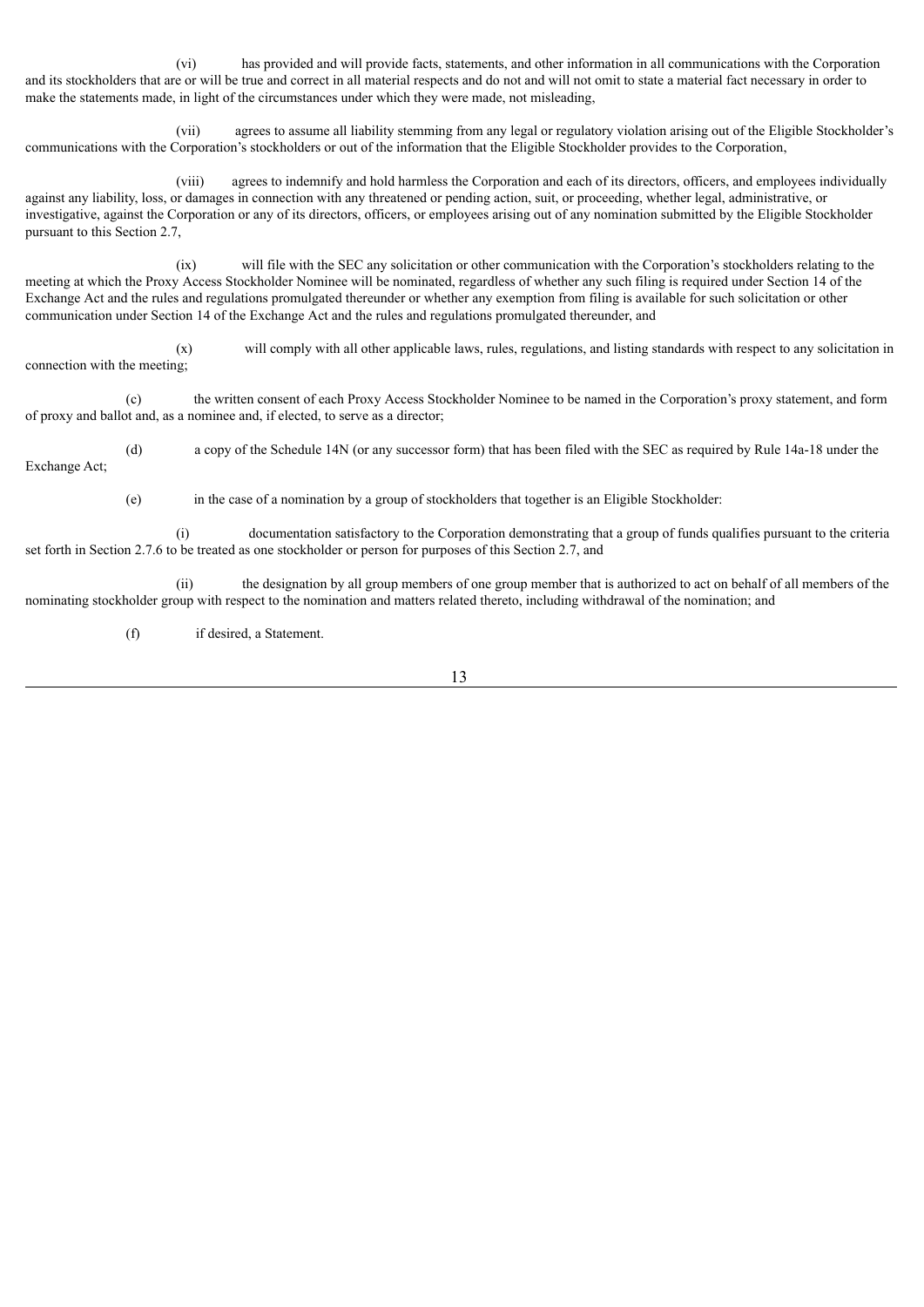(vi) has provided and will provide facts, statements, and other information in all communications with the Corporation and its stockholders that are or will be true and correct in all material respects and do not and will not omit to state a material fact necessary in order to make the statements made, in light of the circumstances under which they were made, not misleading,

(vii) agrees to assume all liability stemming from any legal or regulatory violation arising out of the Eligible Stockholder's communications with the Corporation's stockholders or out of the information that the Eligible Stockholder provides to the Corporation,

(viii) agrees to indemnify and hold harmless the Corporation and each of its directors, officers, and employees individually against any liability, loss, or damages in connection with any threatened or pending action, suit, or proceeding, whether legal, administrative, or investigative, against the Corporation or any of its directors, officers, or employees arising out of any nomination submitted by the Eligible Stockholder pursuant to this Section 2.7,

(ix) will file with the SEC any solicitation or other communication with the Corporation's stockholders relating to the meeting at which the Proxy Access Stockholder Nominee will be nominated, regardless of whether any such filing is required under Section 14 of the Exchange Act and the rules and regulations promulgated thereunder or whether any exemption from filing is available for such solicitation or other communication under Section 14 of the Exchange Act and the rules and regulations promulgated thereunder, and

(x) will comply with all other applicable laws, rules, regulations, and listing standards with respect to any solicitation in connection with the meeting;

(c) the written consent of each Proxy Access Stockholder Nominee to be named in the Corporation's proxy statement, and form of proxy and ballot and, as a nominee and, if elected, to serve as a director;

(d) a copy of the Schedule 14N (or any successor form) that has been filed with the SEC as required by Rule 14a-18 under the Exchange Act;

(e) in the case of a nomination by a group of stockholders that together is an Eligible Stockholder:

(i) documentation satisfactory to the Corporation demonstrating that a group of funds qualifies pursuant to the criteria set forth in Section 2.7.6 to be treated as one stockholder or person for purposes of this Section 2.7, and

(ii) the designation by all group members of one group member that is authorized to act on behalf of all members of the nominating stockholder group with respect to the nomination and matters related thereto, including withdrawal of the nomination; and

(f) if desired, a Statement.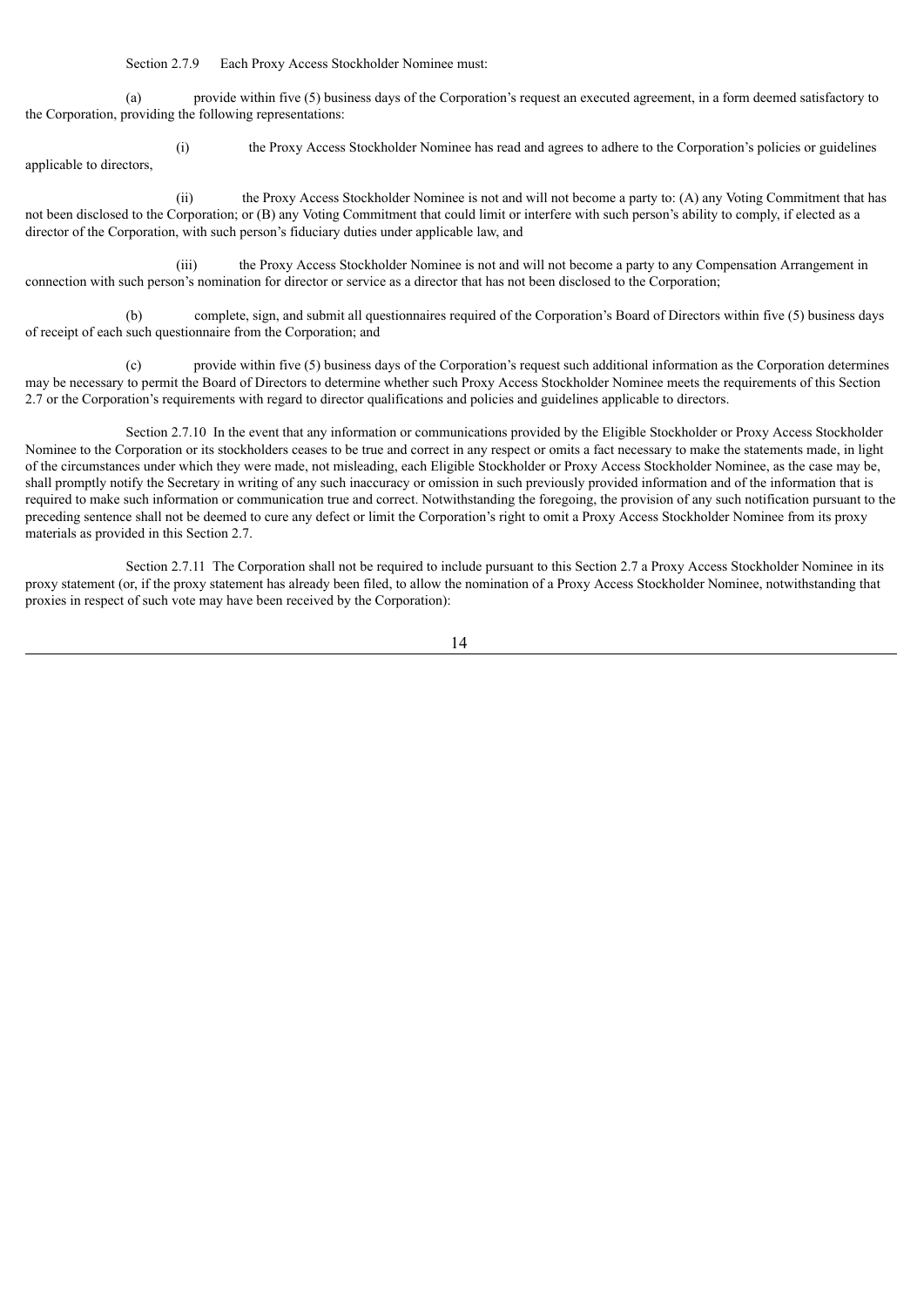Section 2.7.9 Each Proxy Access Stockholder Nominee must:

(a) provide within five (5) business days of the Corporation's request an executed agreement, in a form deemed satisfactory to the Corporation, providing the following representations:

(i) the Proxy Access Stockholder Nominee has read and agrees to adhere to the Corporation's policies or guidelines applicable to directors,

(ii) the Proxy Access Stockholder Nominee is not and will not become a party to: (A) any Voting Commitment that has not been disclosed to the Corporation; or (B) any Voting Commitment that could limit or interfere with such person's ability to comply, if elected as a director of the Corporation, with such person's fiduciary duties under applicable law, and

(iii) the Proxy Access Stockholder Nominee is not and will not become a party to any Compensation Arrangement in connection with such person's nomination for director or service as a director that has not been disclosed to the Corporation;

(b) complete, sign, and submit all questionnaires required of the Corporation's Board of Directors within five (5) business days of receipt of each such questionnaire from the Corporation; and

(c) provide within five (5) business days of the Corporation's request such additional information as the Corporation determines may be necessary to permit the Board of Directors to determine whether such Proxy Access Stockholder Nominee meets the requirements of this Section 2.7 or the Corporation's requirements with regard to director qualifications and policies and guidelines applicable to directors.

Section 2.7.10 In the event that any information or communications provided by the Eligible Stockholder or Proxy Access Stockholder Nominee to the Corporation or its stockholders ceases to be true and correct in any respect or omits a fact necessary to make the statements made, in light of the circumstances under which they were made, not misleading, each Eligible Stockholder or Proxy Access Stockholder Nominee, as the case may be, shall promptly notify the Secretary in writing of any such inaccuracy or omission in such previously provided information and of the information that is required to make such information or communication true and correct. Notwithstanding the foregoing, the provision of any such notification pursuant to the preceding sentence shall not be deemed to cure any defect or limit the Corporation's right to omit a Proxy Access Stockholder Nominee from its proxy materials as provided in this Section 2.7.

Section 2.7.11 The Corporation shall not be required to include pursuant to this Section 2.7 a Proxy Access Stockholder Nominee in its proxy statement (or, if the proxy statement has already been filed, to allow the nomination of a Proxy Access Stockholder Nominee, notwithstanding that proxies in respect of such vote may have been received by the Corporation):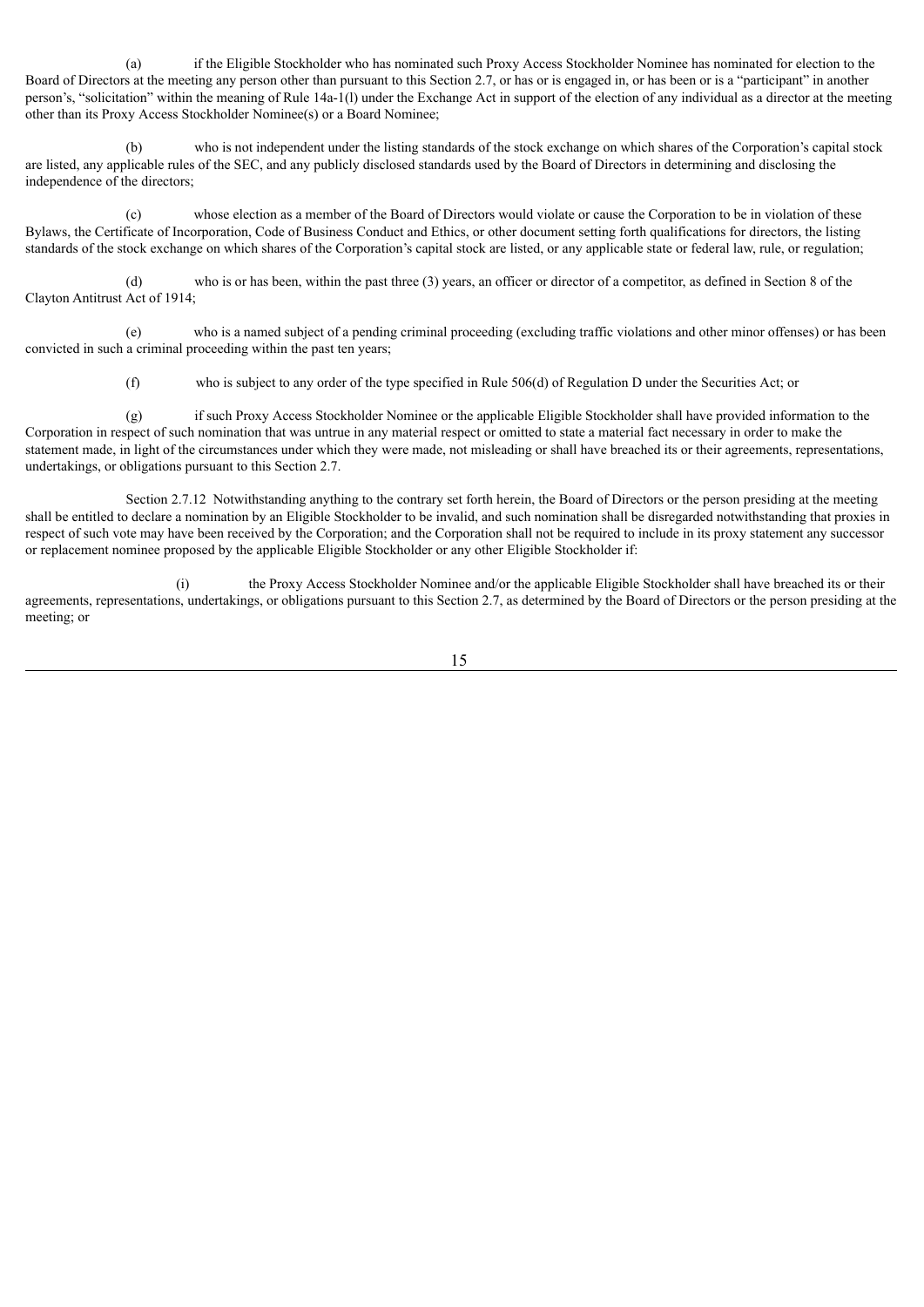(a) if the Eligible Stockholder who has nominated such Proxy Access Stockholder Nominee has nominated for election to the Board of Directors at the meeting any person other than pursuant to this Section 2.7, or has or is engaged in, or has been or is a "participant" in another person's, "solicitation" within the meaning of Rule 14a-1(l) under the Exchange Act in support of the election of any individual as a director at the meeting other than its Proxy Access Stockholder Nominee(s) or a Board Nominee;

(b) who is not independent under the listing standards of the stock exchange on which shares of the Corporation's capital stock are listed, any applicable rules of the SEC, and any publicly disclosed standards used by the Board of Directors in determining and disclosing the independence of the directors;

(c) whose election as a member of the Board of Directors would violate or cause the Corporation to be in violation of these Bylaws, the Certificate of Incorporation, Code of Business Conduct and Ethics, or other document setting forth qualifications for directors, the listing standards of the stock exchange on which shares of the Corporation's capital stock are listed, or any applicable state or federal law, rule, or regulation;

(d) who is or has been, within the past three (3) years, an officer or director of a competitor, as defined in Section 8 of the Clayton Antitrust Act of 1914;

(e) who is a named subject of a pending criminal proceeding (excluding traffic violations and other minor offenses) or has been convicted in such a criminal proceeding within the past ten years;

(f) who is subject to any order of the type specified in Rule 506(d) of Regulation D under the Securities Act; or

(g) if such Proxy Access Stockholder Nominee or the applicable Eligible Stockholder shall have provided information to the Corporation in respect of such nomination that was untrue in any material respect or omitted to state a material fact necessary in order to make the statement made, in light of the circumstances under which they were made, not misleading or shall have breached its or their agreements, representations, undertakings, or obligations pursuant to this Section 2.7.

Section 2.7.12 Notwithstanding anything to the contrary set forth herein, the Board of Directors or the person presiding at the meeting shall be entitled to declare a nomination by an Eligible Stockholder to be invalid, and such nomination shall be disregarded notwithstanding that proxies in respect of such vote may have been received by the Corporation; and the Corporation shall not be required to include in its proxy statement any successor or replacement nominee proposed by the applicable Eligible Stockholder or any other Eligible Stockholder if:

(i) the Proxy Access Stockholder Nominee and/or the applicable Eligible Stockholder shall have breached its or their agreements, representations, undertakings, or obligations pursuant to this Section 2.7, as determined by the Board of Directors or the person presiding at the meeting; or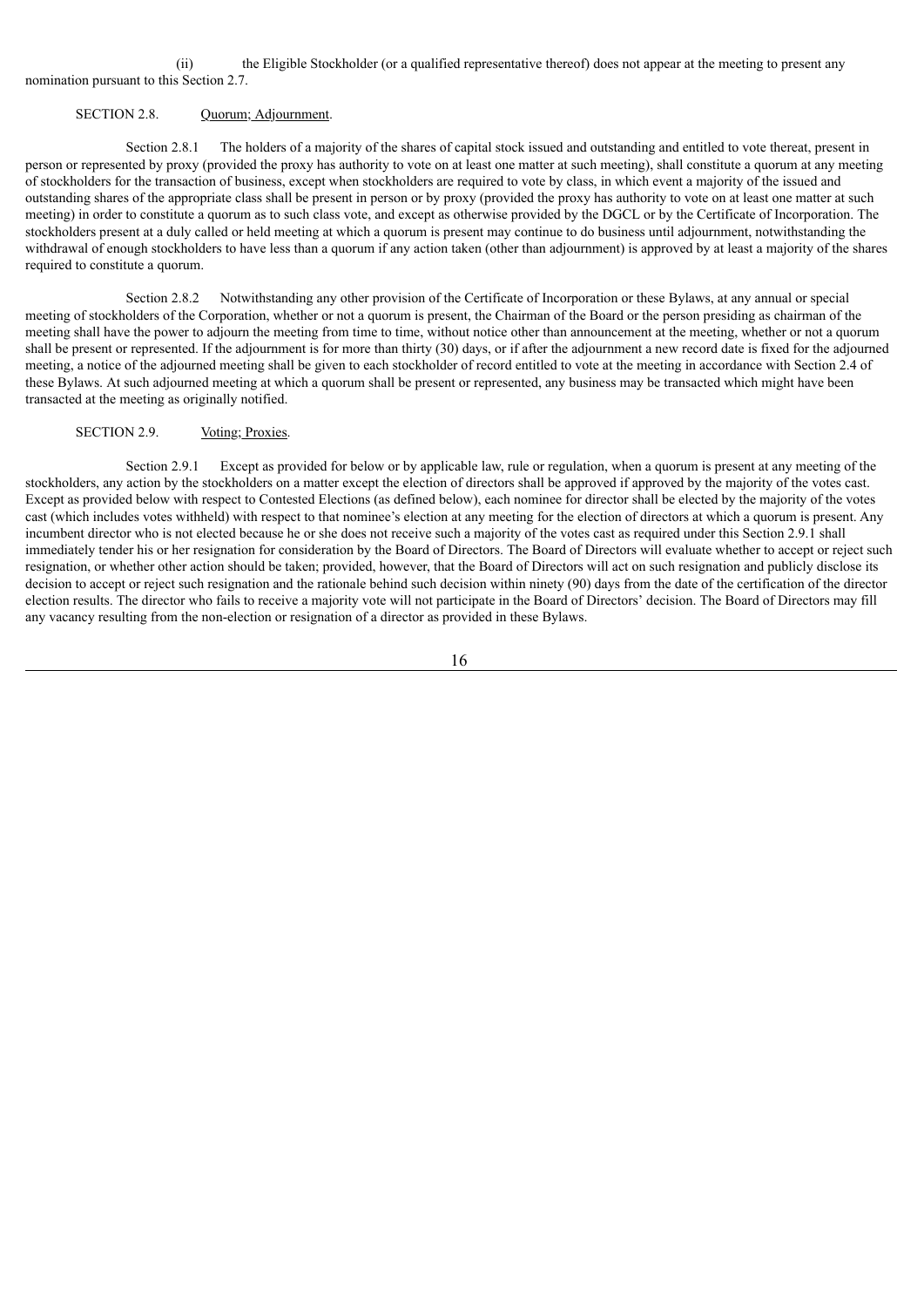(ii) the Eligible Stockholder (or a qualified representative thereof) does not appear at the meeting to present any nomination pursuant to this Section 2.7.

#### SECTION 2.8. Ouorum; Adjournment.

Section 2.8.1 The holders of a majority of the shares of capital stock issued and outstanding and entitled to vote thereat, present in person or represented by proxy (provided the proxy has authority to vote on at least one matter at such meeting), shall constitute a quorum at any meeting of stockholders for the transaction of business, except when stockholders are required to vote by class, in which event a majority of the issued and outstanding shares of the appropriate class shall be present in person or by proxy (provided the proxy has authority to vote on at least one matter at such meeting) in order to constitute a quorum as to such class vote, and except as otherwise provided by the DGCL or by the Certificate of Incorporation. The stockholders present at a duly called or held meeting at which a quorum is present may continue to do business until adjournment, notwithstanding the withdrawal of enough stockholders to have less than a quorum if any action taken (other than adjournment) is approved by at least a majority of the shares required to constitute a quorum.

Section 2.8.2 Notwithstanding any other provision of the Certificate of Incorporation or these Bylaws, at any annual or special meeting of stockholders of the Corporation, whether or not a quorum is present, the Chairman of the Board or the person presiding as chairman of the meeting shall have the power to adjourn the meeting from time to time, without notice other than announcement at the meeting, whether or not a quorum shall be present or represented. If the adjournment is for more than thirty (30) days, or if after the adjournment a new record date is fixed for the adjourned meeting, a notice of the adjourned meeting shall be given to each stockholder of record entitled to vote at the meeting in accordance with Section 2.4 of these Bylaws. At such adjourned meeting at which a quorum shall be present or represented, any business may be transacted which might have been transacted at the meeting as originally notified.

# SECTION 2.9. Voting; Proxies.

Section 2.9.1 Except as provided for below or by applicable law, rule or regulation, when a quorum is present at any meeting of the stockholders, any action by the stockholders on a matter except the election of directors shall be approved if approved by the majority of the votes cast. Except as provided below with respect to Contested Elections (as defined below), each nominee for director shall be elected by the majority of the votes cast (which includes votes withheld) with respect to that nominee's election at any meeting for the election of directors at which a quorum is present. Any incumbent director who is not elected because he or she does not receive such a majority of the votes cast as required under this Section 2.9.1 shall immediately tender his or her resignation for consideration by the Board of Directors. The Board of Directors will evaluate whether to accept or reject such resignation, or whether other action should be taken; provided, however, that the Board of Directors will act on such resignation and publicly disclose its decision to accept or reject such resignation and the rationale behind such decision within ninety (90) days from the date of the certification of the director election results. The director who fails to receive a majority vote will not participate in the Board of Directors' decision. The Board of Directors may fill any vacancy resulting from the non-election or resignation of a director as provided in these Bylaws.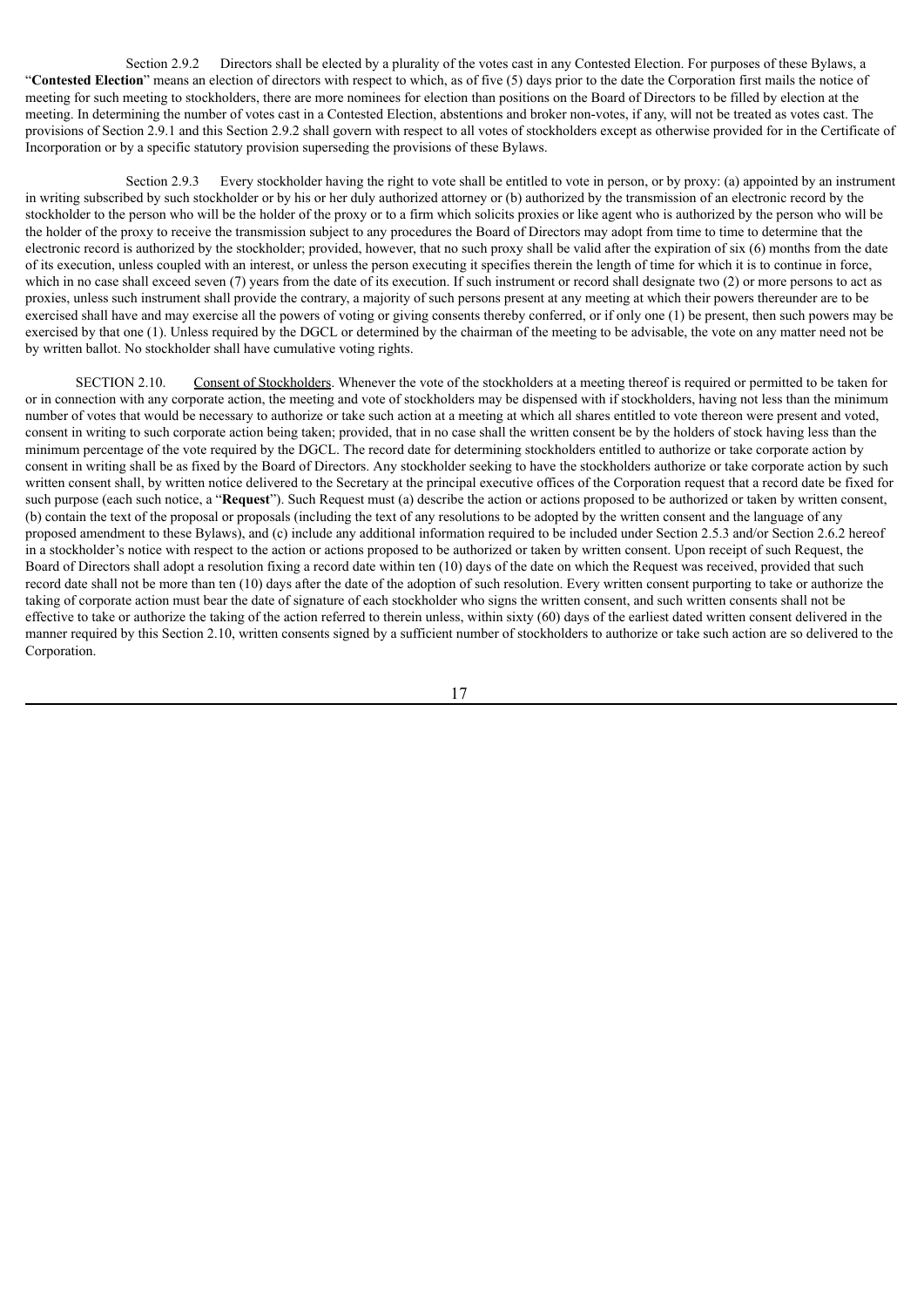Section 2.9.2 Directors shall be elected by a plurality of the votes cast in any Contested Election. For purposes of these Bylaws, a "**Contested Election**" means an election of directors with respect to which, as of five (5) days prior to the date the Corporation first mails the notice of meeting for such meeting to stockholders, there are more nominees for election than positions on the Board of Directors to be filled by election at the meeting. In determining the number of votes cast in a Contested Election, abstentions and broker non-votes, if any, will not be treated as votes cast. The provisions of Section 2.9.1 and this Section 2.9.2 shall govern with respect to all votes of stockholders except as otherwise provided for in the Certificate of Incorporation or by a specific statutory provision superseding the provisions of these Bylaws.

Section 2.9.3 Every stockholder having the right to vote shall be entitled to vote in person, or by proxy: (a) appointed by an instrument in writing subscribed by such stockholder or by his or her duly authorized attorney or (b) authorized by the transmission of an electronic record by the stockholder to the person who will be the holder of the proxy or to a firm which solicits proxies or like agent who is authorized by the person who will be the holder of the proxy to receive the transmission subject to any procedures the Board of Directors may adopt from time to time to determine that the electronic record is authorized by the stockholder; provided, however, that no such proxy shall be valid after the expiration of six (6) months from the date of its execution, unless coupled with an interest, or unless the person executing it specifies therein the length of time for which it is to continue in force, which in no case shall exceed seven (7) years from the date of its execution. If such instrument or record shall designate two (2) or more persons to act as proxies, unless such instrument shall provide the contrary, a majority of such persons present at any meeting at which their powers thereunder are to be exercised shall have and may exercise all the powers of voting or giving consents thereby conferred, or if only one (1) be present, then such powers may be exercised by that one (1). Unless required by the DGCL or determined by the chairman of the meeting to be advisable, the vote on any matter need not be by written ballot. No stockholder shall have cumulative voting rights.

SECTION 2.10. Consent of Stockholders. Whenever the vote of the stockholders at a meeting thereof is required or permitted to be taken for or in connection with any corporate action, the meeting and vote of stockholders may be dispensed with if stockholders, having not less than the minimum number of votes that would be necessary to authorize or take such action at a meeting at which all shares entitled to vote thereon were present and voted, consent in writing to such corporate action being taken; provided, that in no case shall the written consent be by the holders of stock having less than the minimum percentage of the vote required by the DGCL. The record date for determining stockholders entitled to authorize or take corporate action by consent in writing shall be as fixed by the Board of Directors. Any stockholder seeking to have the stockholders authorize or take corporate action by such written consent shall, by written notice delivered to the Secretary at the principal executive offices of the Corporation request that a record date be fixed for such purpose (each such notice, a "**Request**"). Such Request must (a) describe the action or actions proposed to be authorized or taken by written consent, (b) contain the text of the proposal or proposals (including the text of any resolutions to be adopted by the written consent and the language of any proposed amendment to these Bylaws), and (c) include any additional information required to be included under Section 2.5.3 and/or Section 2.6.2 hereof in a stockholder's notice with respect to the action or actions proposed to be authorized or taken by written consent. Upon receipt of such Request, the Board of Directors shall adopt a resolution fixing a record date within ten (10) days of the date on which the Request was received, provided that such record date shall not be more than ten (10) days after the date of the adoption of such resolution. Every written consent purporting to take or authorize the taking of corporate action must bear the date of signature of each stockholder who signs the written consent, and such written consents shall not be effective to take or authorize the taking of the action referred to therein unless, within sixty (60) days of the earliest dated written consent delivered in the manner required by this Section 2.10, written consents signed by a sufficient number of stockholders to authorize or take such action are so delivered to the Corporation.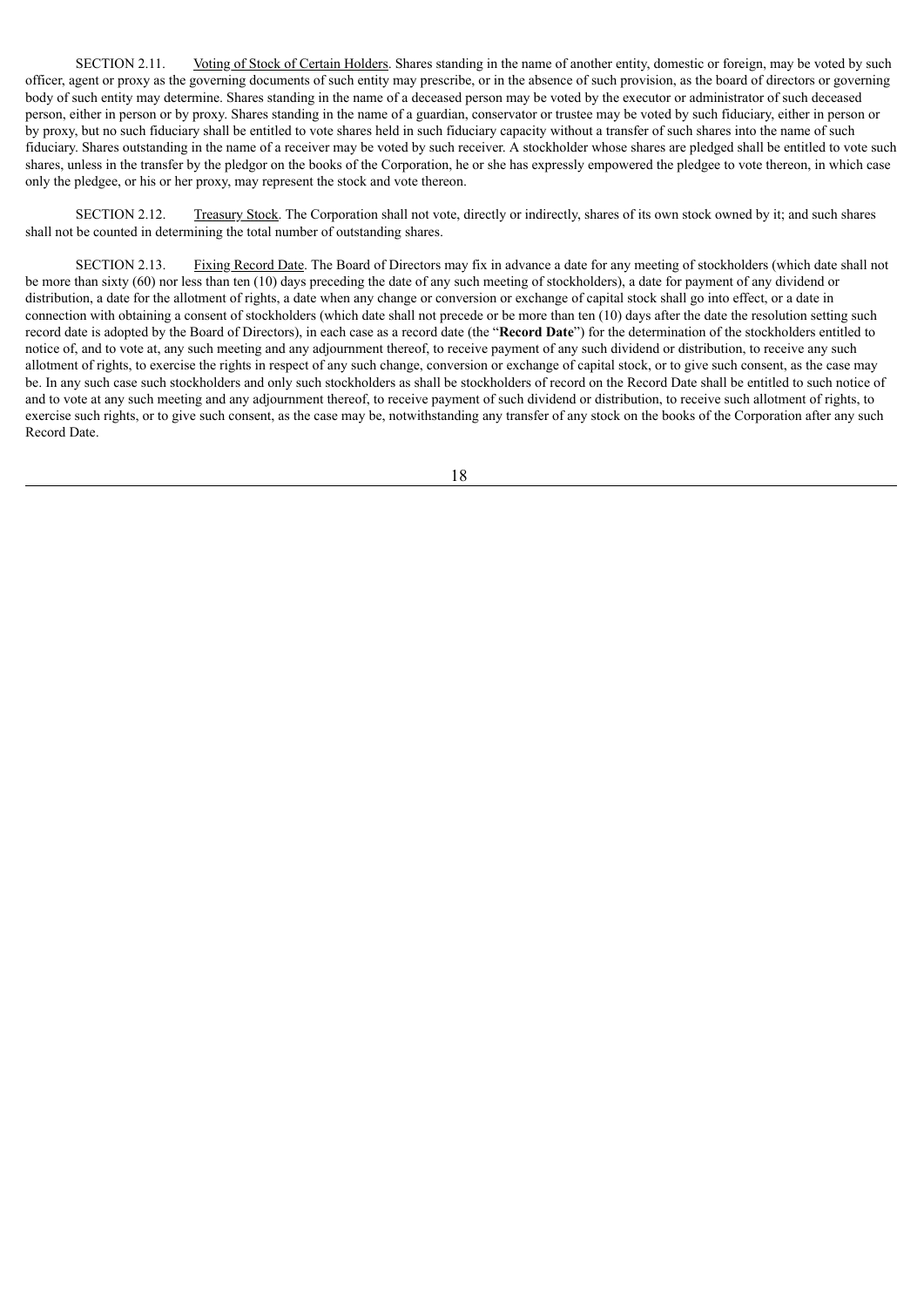SECTION 2.11. Voting of Stock of Certain Holders. Shares standing in the name of another entity, domestic or foreign, may be voted by such officer, agent or proxy as the governing documents of such entity may prescribe, or in the absence of such provision, as the board of directors or governing body of such entity may determine. Shares standing in the name of a deceased person may be voted by the executor or administrator of such deceased person, either in person or by proxy. Shares standing in the name of a guardian, conservator or trustee may be voted by such fiduciary, either in person or by proxy, but no such fiduciary shall be entitled to vote shares held in such fiduciary capacity without a transfer of such shares into the name of such fiduciary. Shares outstanding in the name of a receiver may be voted by such receiver. A stockholder whose shares are pledged shall be entitled to vote such shares, unless in the transfer by the pledgor on the books of the Corporation, he or she has expressly empowered the pledgee to vote thereon, in which case only the pledgee, or his or her proxy, may represent the stock and vote thereon.

SECTION 2.12. Treasury Stock. The Corporation shall not vote, directly or indirectly, shares of its own stock owned by it; and such shares shall not be counted in determining the total number of outstanding shares.

SECTION 2.13. Fixing Record Date. The Board of Directors may fix in advance a date for any meeting of stockholders (which date shall not be more than sixty (60) nor less than ten (10) days preceding the date of any such meeting of stockholders), a date for payment of any dividend or distribution, a date for the allotment of rights, a date when any change or conversion or exchange of capital stock shall go into effect, or a date in connection with obtaining a consent of stockholders (which date shall not precede or be more than ten (10) days after the date the resolution setting such record date is adopted by the Board of Directors), in each case as a record date (the "**Record Date**") for the determination of the stockholders entitled to notice of, and to vote at, any such meeting and any adjournment thereof, to receive payment of any such dividend or distribution, to receive any such allotment of rights, to exercise the rights in respect of any such change, conversion or exchange of capital stock, or to give such consent, as the case may be. In any such case such stockholders and only such stockholders as shall be stockholders of record on the Record Date shall be entitled to such notice of and to vote at any such meeting and any adjournment thereof, to receive payment of such dividend or distribution, to receive such allotment of rights, to exercise such rights, or to give such consent, as the case may be, notwithstanding any transfer of any stock on the books of the Corporation after any such Record Date.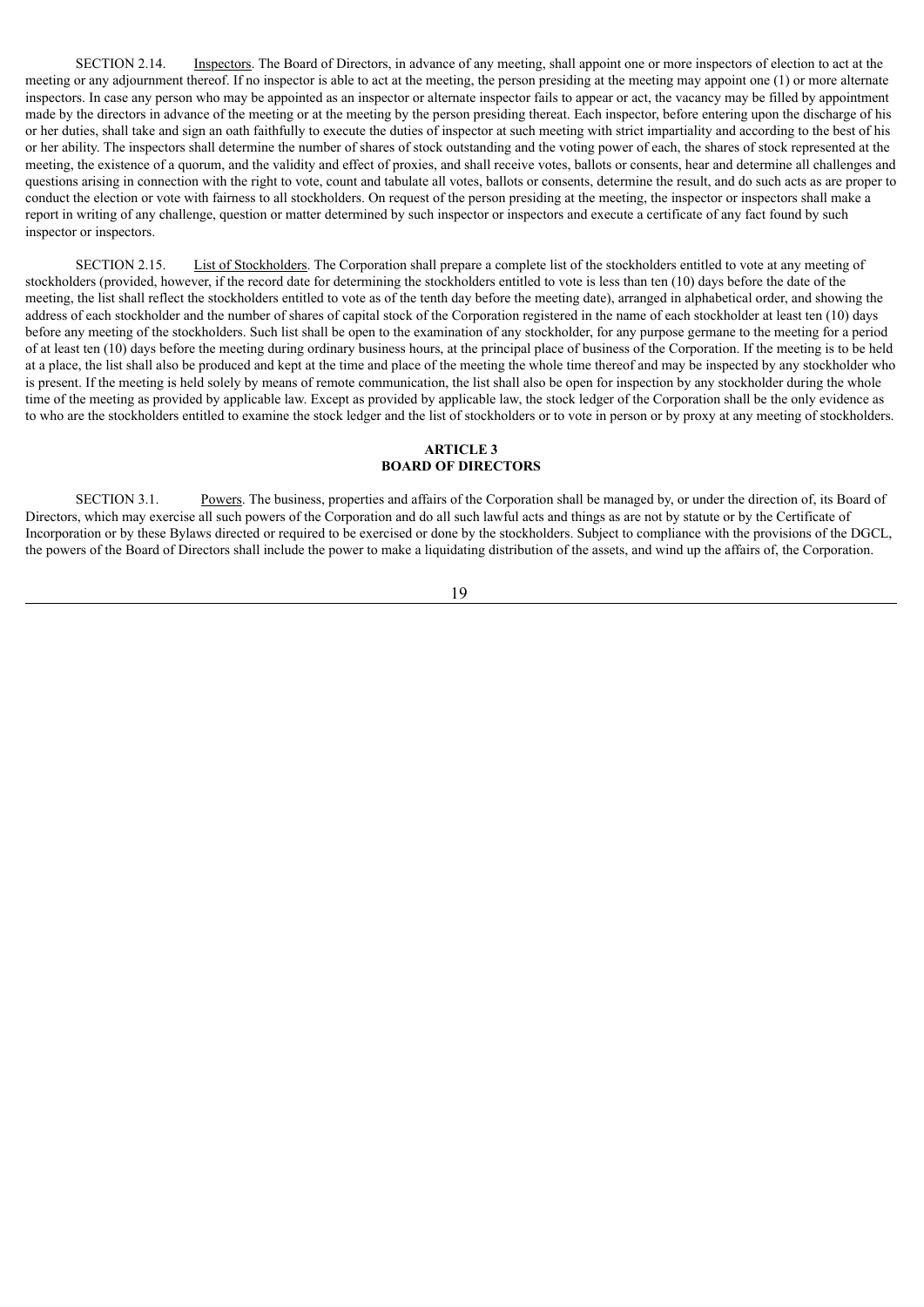SECTION 2.14. Inspectors. The Board of Directors, in advance of any meeting, shall appoint one or more inspectors of election to act at the meeting or any adjournment thereof. If no inspector is able to act at the meeting, the person presiding at the meeting may appoint one (1) or more alternate inspectors. In case any person who may be appointed as an inspector or alternate inspector fails to appear or act, the vacancy may be filled by appointment made by the directors in advance of the meeting or at the meeting by the person presiding thereat. Each inspector, before entering upon the discharge of his or her duties, shall take and sign an oath faithfully to execute the duties of inspector at such meeting with strict impartiality and according to the best of his or her ability. The inspectors shall determine the number of shares of stock outstanding and the voting power of each, the shares of stock represented at the meeting, the existence of a quorum, and the validity and effect of proxies, and shall receive votes, ballots or consents, hear and determine all challenges and questions arising in connection with the right to vote, count and tabulate all votes, ballots or consents, determine the result, and do such acts as are proper to conduct the election or vote with fairness to all stockholders. On request of the person presiding at the meeting, the inspector or inspectors shall make a report in writing of any challenge, question or matter determined by such inspector or inspectors and execute a certificate of any fact found by such inspector or inspectors.

SECTION 2.15. List of Stockholders. The Corporation shall prepare a complete list of the stockholders entitled to vote at any meeting of stockholders (provided, however, if the record date for determining the stockholders entitled to vote is less than ten (10) days before the date of the meeting, the list shall reflect the stockholders entitled to vote as of the tenth day before the meeting date), arranged in alphabetical order, and showing the address of each stockholder and the number of shares of capital stock of the Corporation registered in the name of each stockholder at least ten (10) days before any meeting of the stockholders. Such list shall be open to the examination of any stockholder, for any purpose germane to the meeting for a period of at least ten (10) days before the meeting during ordinary business hours, at the principal place of business of the Corporation. If the meeting is to be held at a place, the list shall also be produced and kept at the time and place of the meeting the whole time thereof and may be inspected by any stockholder who is present. If the meeting is held solely by means of remote communication, the list shall also be open for inspection by any stockholder during the whole time of the meeting as provided by applicable law. Except as provided by applicable law, the stock ledger of the Corporation shall be the only evidence as to who are the stockholders entitled to examine the stock ledger and the list of stockholders or to vote in person or by proxy at any meeting of stockholders.

# **ARTICLE 3 BOARD OF DIRECTORS**

SECTION 3.1. Powers. The business, properties and affairs of the Corporation shall be managed by, or under the direction of, its Board of Directors, which may exercise all such powers of the Corporation and do all such lawful acts and things as are not by statute or by the Certificate of Incorporation or by these Bylaws directed or required to be exercised or done by the stockholders. Subject to compliance with the provisions of the DGCL, the powers of the Board of Directors shall include the power to make a liquidating distribution of the assets, and wind up the affairs of, the Corporation.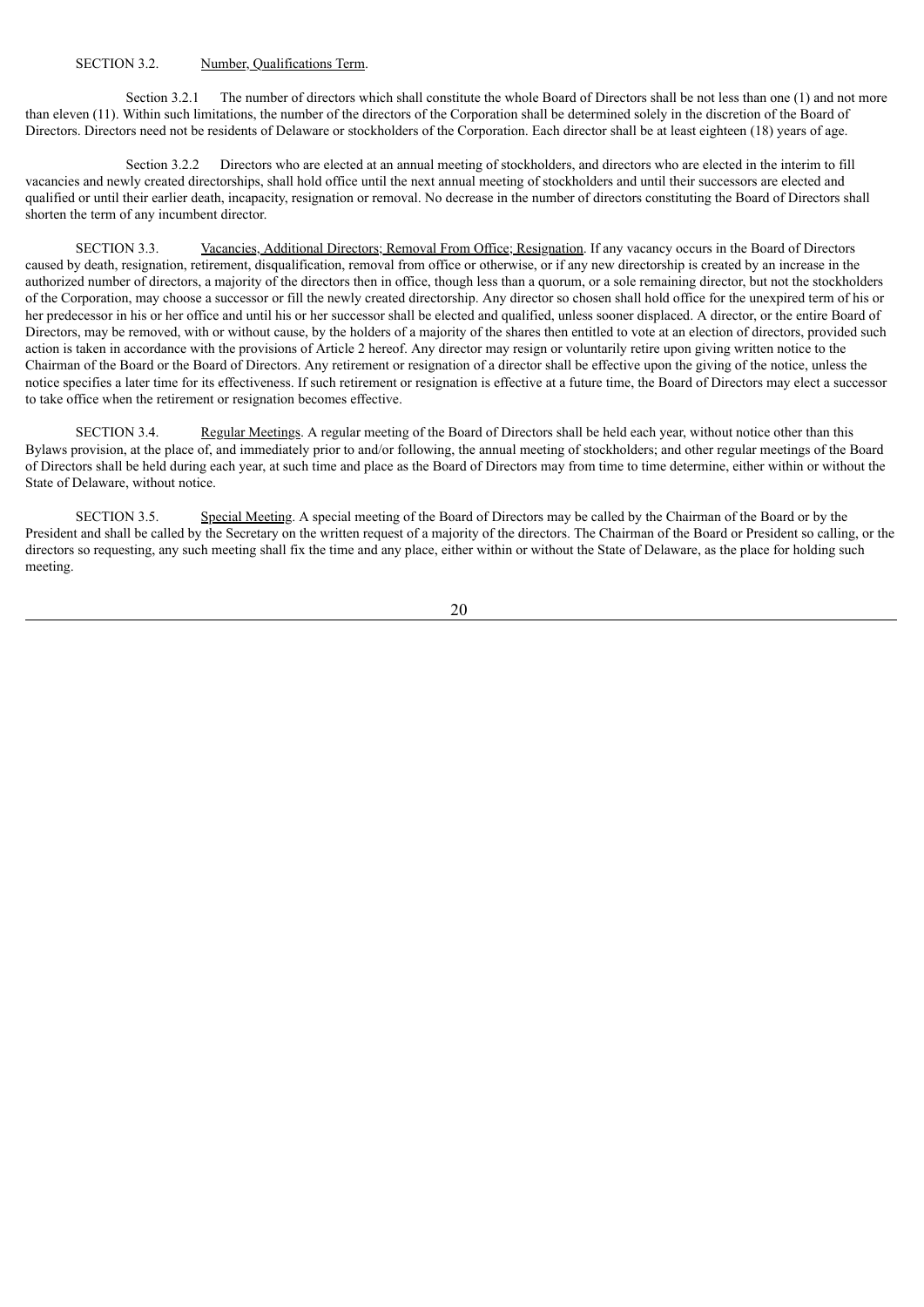#### SECTION 3.2. Number, Qualifications Term.

Section 3.2.1 The number of directors which shall constitute the whole Board of Directors shall be not less than one (1) and not more than eleven (11). Within such limitations, the number of the directors of the Corporation shall be determined solely in the discretion of the Board of Directors. Directors need not be residents of Delaware or stockholders of the Corporation. Each director shall be at least eighteen (18) years of age.

Section 3.2.2 Directors who are elected at an annual meeting of stockholders, and directors who are elected in the interim to fill vacancies and newly created directorships, shall hold office until the next annual meeting of stockholders and until their successors are elected and qualified or until their earlier death, incapacity, resignation or removal. No decrease in the number of directors constituting the Board of Directors shall shorten the term of any incumbent director.

SECTION 3.3. Vacancies, Additional Directors; Removal From Office; Resignation. If any vacancy occurs in the Board of Directors caused by death, resignation, retirement, disqualification, removal from office or otherwise, or if any new directorship is created by an increase in the authorized number of directors, a majority of the directors then in office, though less than a quorum, or a sole remaining director, but not the stockholders of the Corporation, may choose a successor or fill the newly created directorship. Any director so chosen shall hold office for the unexpired term of his or her predecessor in his or her office and until his or her successor shall be elected and qualified, unless sooner displaced. A director, or the entire Board of Directors, may be removed, with or without cause, by the holders of a majority of the shares then entitled to vote at an election of directors, provided such action is taken in accordance with the provisions of Article 2 hereof. Any director may resign or voluntarily retire upon giving written notice to the Chairman of the Board or the Board of Directors. Any retirement or resignation of a director shall be effective upon the giving of the notice, unless the notice specifies a later time for its effectiveness. If such retirement or resignation is effective at a future time, the Board of Directors may elect a successor to take office when the retirement or resignation becomes effective.

SECTION 3.4. Regular Meetings. A regular meeting of the Board of Directors shall be held each year, without notice other than this Bylaws provision, at the place of, and immediately prior to and/or following, the annual meeting of stockholders; and other regular meetings of the Board of Directors shall be held during each year, at such time and place as the Board of Directors may from time to time determine, either within or without the State of Delaware, without notice.

SECTION 3.5. Special Meeting. A special meeting of the Board of Directors may be called by the Chairman of the Board or by the President and shall be called by the Secretary on the written request of a majority of the directors. The Chairman of the Board or President so calling, or the directors so requesting, any such meeting shall fix the time and any place, either within or without the State of Delaware, as the place for holding such meeting.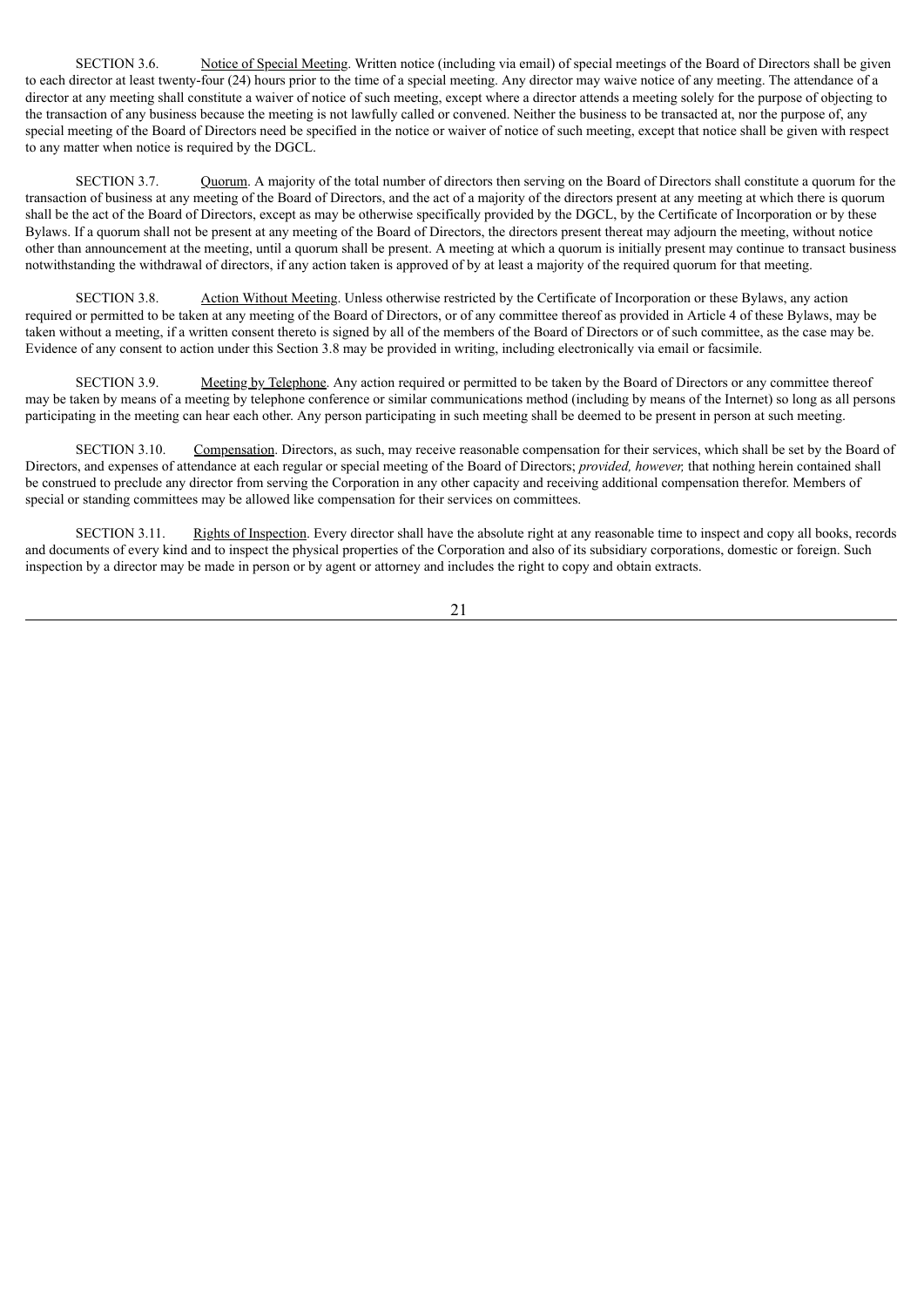SECTION 3.6. Notice of Special Meeting. Written notice (including via email) of special meetings of the Board of Directors shall be given to each director at least twenty-four (24) hours prior to the time of a special meeting. Any director may waive notice of any meeting. The attendance of a director at any meeting shall constitute a waiver of notice of such meeting, except where a director attends a meeting solely for the purpose of objecting to the transaction of any business because the meeting is not lawfully called or convened. Neither the business to be transacted at, nor the purpose of, any special meeting of the Board of Directors need be specified in the notice or waiver of notice of such meeting, except that notice shall be given with respect to any matter when notice is required by the DGCL.

SECTION 3.7. Quorum. A majority of the total number of directors then serving on the Board of Directors shall constitute a quorum for the transaction of business at any meeting of the Board of Directors, and the act of a majority of the directors present at any meeting at which there is quorum shall be the act of the Board of Directors, except as may be otherwise specifically provided by the DGCL, by the Certificate of Incorporation or by these Bylaws. If a quorum shall not be present at any meeting of the Board of Directors, the directors present thereat may adjourn the meeting, without notice other than announcement at the meeting, until a quorum shall be present. A meeting at which a quorum is initially present may continue to transact business notwithstanding the withdrawal of directors, if any action taken is approved of by at least a majority of the required quorum for that meeting.

SECTION 3.8. Action Without Meeting. Unless otherwise restricted by the Certificate of Incorporation or these Bylaws, any action required or permitted to be taken at any meeting of the Board of Directors, or of any committee thereof as provided in Article 4 of these Bylaws, may be taken without a meeting, if a written consent thereto is signed by all of the members of the Board of Directors or of such committee, as the case may be. Evidence of any consent to action under this Section 3.8 may be provided in writing, including electronically via email or facsimile.

SECTION 3.9. Meeting by Telephone. Any action required or permitted to be taken by the Board of Directors or any committee thereof may be taken by means of a meeting by telephone conference or similar communications method (including by means of the Internet) so long as all persons participating in the meeting can hear each other. Any person participating in such meeting shall be deemed to be present in person at such meeting.

SECTION 3.10. Compensation. Directors, as such, may receive reasonable compensation for their services, which shall be set by the Board of Directors, and expenses of attendance at each regular or special meeting of the Board of Directors; *provided, however,* that nothing herein contained shall be construed to preclude any director from serving the Corporation in any other capacity and receiving additional compensation therefor. Members of special or standing committees may be allowed like compensation for their services on committees.

SECTION 3.11. Rights of Inspection. Every director shall have the absolute right at any reasonable time to inspect and copy all books, records and documents of every kind and to inspect the physical properties of the Corporation and also of its subsidiary corporations, domestic or foreign. Such inspection by a director may be made in person or by agent or attorney and includes the right to copy and obtain extracts.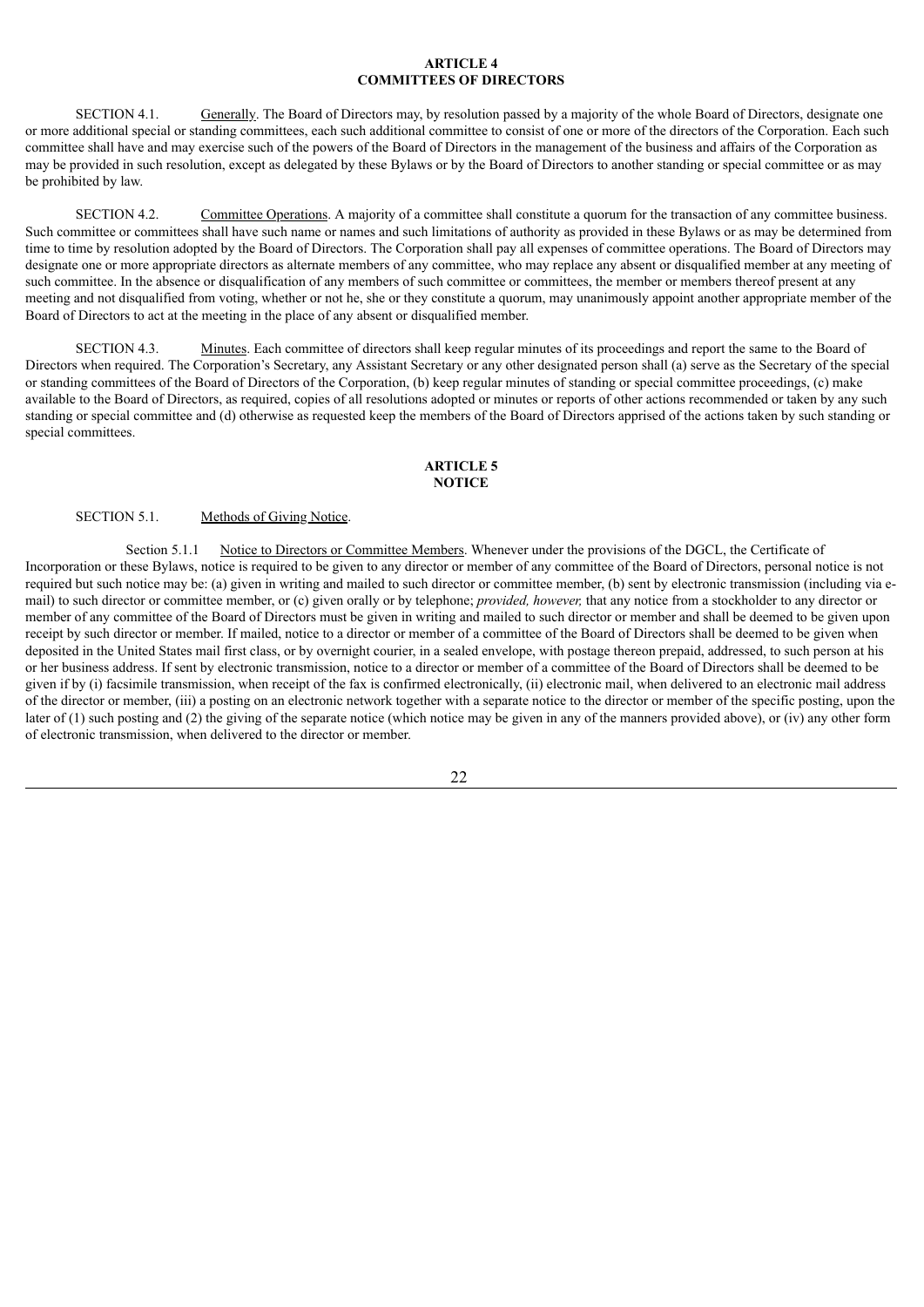### **ARTICLE 4 COMMITTEES OF DIRECTORS**

SECTION 4.1. Generally. The Board of Directors may, by resolution passed by a majority of the whole Board of Directors, designate one or more additional special or standing committees, each such additional committee to consist of one or more of the directors of the Corporation. Each such committee shall have and may exercise such of the powers of the Board of Directors in the management of the business and affairs of the Corporation as may be provided in such resolution, except as delegated by these Bylaws or by the Board of Directors to another standing or special committee or as may be prohibited by law.

SECTION 4.2. Committee Operations. A majority of a committee shall constitute a quorum for the transaction of any committee business. Such committee or committees shall have such name or names and such limitations of authority as provided in these Bylaws or as may be determined from time to time by resolution adopted by the Board of Directors. The Corporation shall pay all expenses of committee operations. The Board of Directors may designate one or more appropriate directors as alternate members of any committee, who may replace any absent or disqualified member at any meeting of such committee. In the absence or disqualification of any members of such committee or committees, the member or members thereof present at any meeting and not disqualified from voting, whether or not he, she or they constitute a quorum, may unanimously appoint another appropriate member of the Board of Directors to act at the meeting in the place of any absent or disqualified member.

SECTION 4.3. Minutes. Each committee of directors shall keep regular minutes of its proceedings and report the same to the Board of Directors when required. The Corporation's Secretary, any Assistant Secretary or any other designated person shall (a) serve as the Secretary of the special or standing committees of the Board of Directors of the Corporation, (b) keep regular minutes of standing or special committee proceedings, (c) make available to the Board of Directors, as required, copies of all resolutions adopted or minutes or reports of other actions recommended or taken by any such standing or special committee and (d) otherwise as requested keep the members of the Board of Directors apprised of the actions taken by such standing or special committees.

#### **ARTICLE 5 NOTICE**

# SECTION 5.1. Methods of Giving Notice.

Section 5.1.1 Notice to Directors or Committee Members. Whenever under the provisions of the DGCL, the Certificate of Incorporation or these Bylaws, notice is required to be given to any director or member of any committee of the Board of Directors, personal notice is not required but such notice may be: (a) given in writing and mailed to such director or committee member, (b) sent by electronic transmission (including via email) to such director or committee member, or (c) given orally or by telephone; *provided, however,* that any notice from a stockholder to any director or member of any committee of the Board of Directors must be given in writing and mailed to such director or member and shall be deemed to be given upon receipt by such director or member. If mailed, notice to a director or member of a committee of the Board of Directors shall be deemed to be given when deposited in the United States mail first class, or by overnight courier, in a sealed envelope, with postage thereon prepaid, addressed, to such person at his or her business address. If sent by electronic transmission, notice to a director or member of a committee of the Board of Directors shall be deemed to be given if by (i) facsimile transmission, when receipt of the fax is confirmed electronically, (ii) electronic mail, when delivered to an electronic mail address of the director or member, (iii) a posting on an electronic network together with a separate notice to the director or member of the specific posting, upon the later of (1) such posting and (2) the giving of the separate notice (which notice may be given in any of the manners provided above), or (iv) any other form of electronic transmission, when delivered to the director or member.

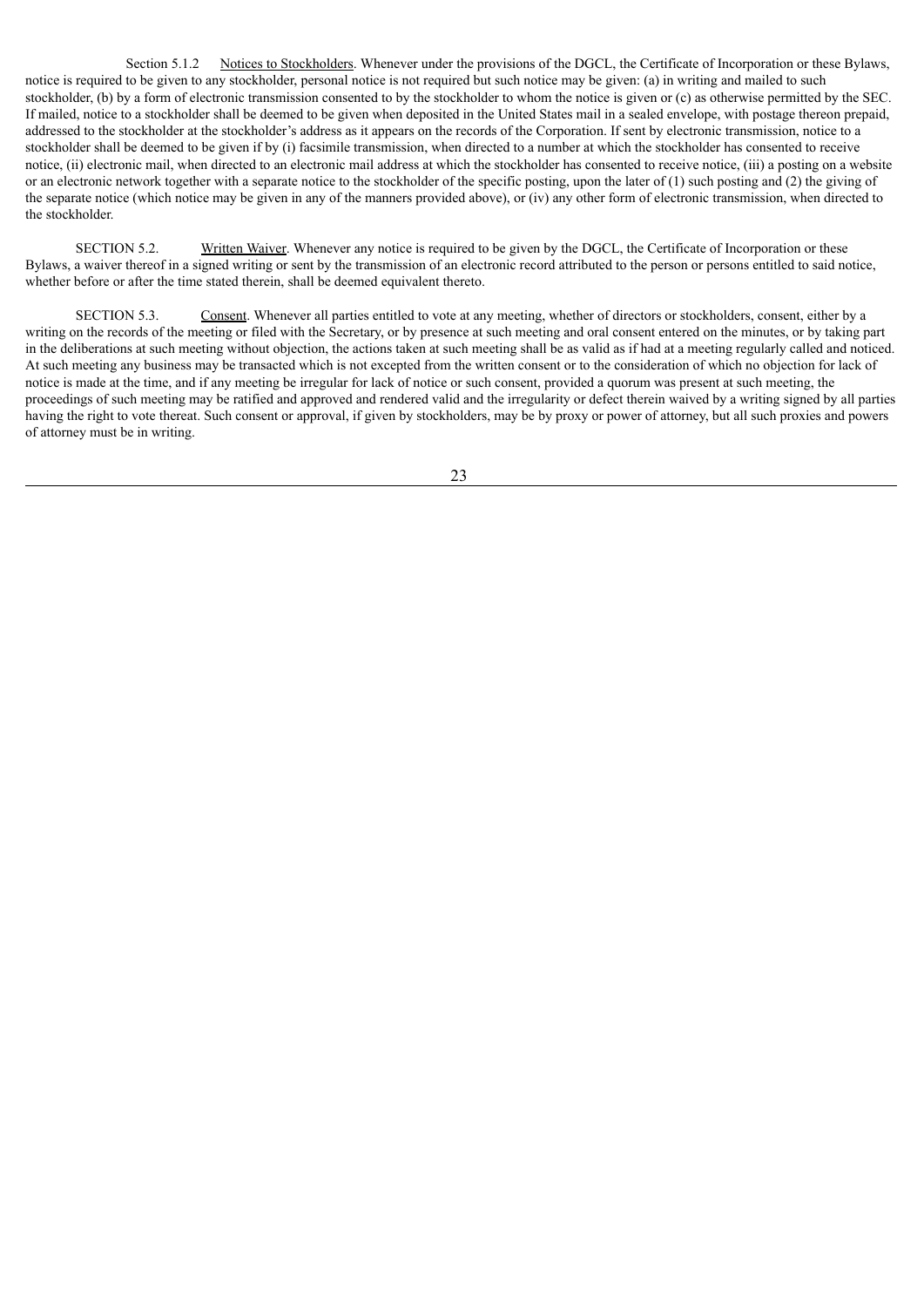Section 5.1.2 Notices to Stockholders. Whenever under the provisions of the DGCL, the Certificate of Incorporation or these Bylaws, notice is required to be given to any stockholder, personal notice is not required but such notice may be given: (a) in writing and mailed to such stockholder, (b) by a form of electronic transmission consented to by the stockholder to whom the notice is given or (c) as otherwise permitted by the SEC. If mailed, notice to a stockholder shall be deemed to be given when deposited in the United States mail in a sealed envelope, with postage thereon prepaid, addressed to the stockholder at the stockholder's address as it appears on the records of the Corporation. If sent by electronic transmission, notice to a stockholder shall be deemed to be given if by (i) facsimile transmission, when directed to a number at which the stockholder has consented to receive notice, (ii) electronic mail, when directed to an electronic mail address at which the stockholder has consented to receive notice, (iii) a posting on a website or an electronic network together with a separate notice to the stockholder of the specific posting, upon the later of (1) such posting and (2) the giving of the separate notice (which notice may be given in any of the manners provided above), or (iv) any other form of electronic transmission, when directed to the stockholder.

SECTION 5.2. Written Waiver. Whenever any notice is required to be given by the DGCL, the Certificate of Incorporation or these Bylaws, a waiver thereof in a signed writing or sent by the transmission of an electronic record attributed to the person or persons entitled to said notice, whether before or after the time stated therein, shall be deemed equivalent thereto.

SECTION 5.3. Consent. Whenever all parties entitled to vote at any meeting, whether of directors or stockholders, consent, either by a writing on the records of the meeting or filed with the Secretary, or by presence at such meeting and oral consent entered on the minutes, or by taking part in the deliberations at such meeting without objection, the actions taken at such meeting shall be as valid as if had at a meeting regularly called and noticed. At such meeting any business may be transacted which is not excepted from the written consent or to the consideration of which no objection for lack of notice is made at the time, and if any meeting be irregular for lack of notice or such consent, provided a quorum was present at such meeting, the proceedings of such meeting may be ratified and approved and rendered valid and the irregularity or defect therein waived by a writing signed by all parties having the right to vote thereat. Such consent or approval, if given by stockholders, may be by proxy or power of attorney, but all such proxies and powers of attorney must be in writing.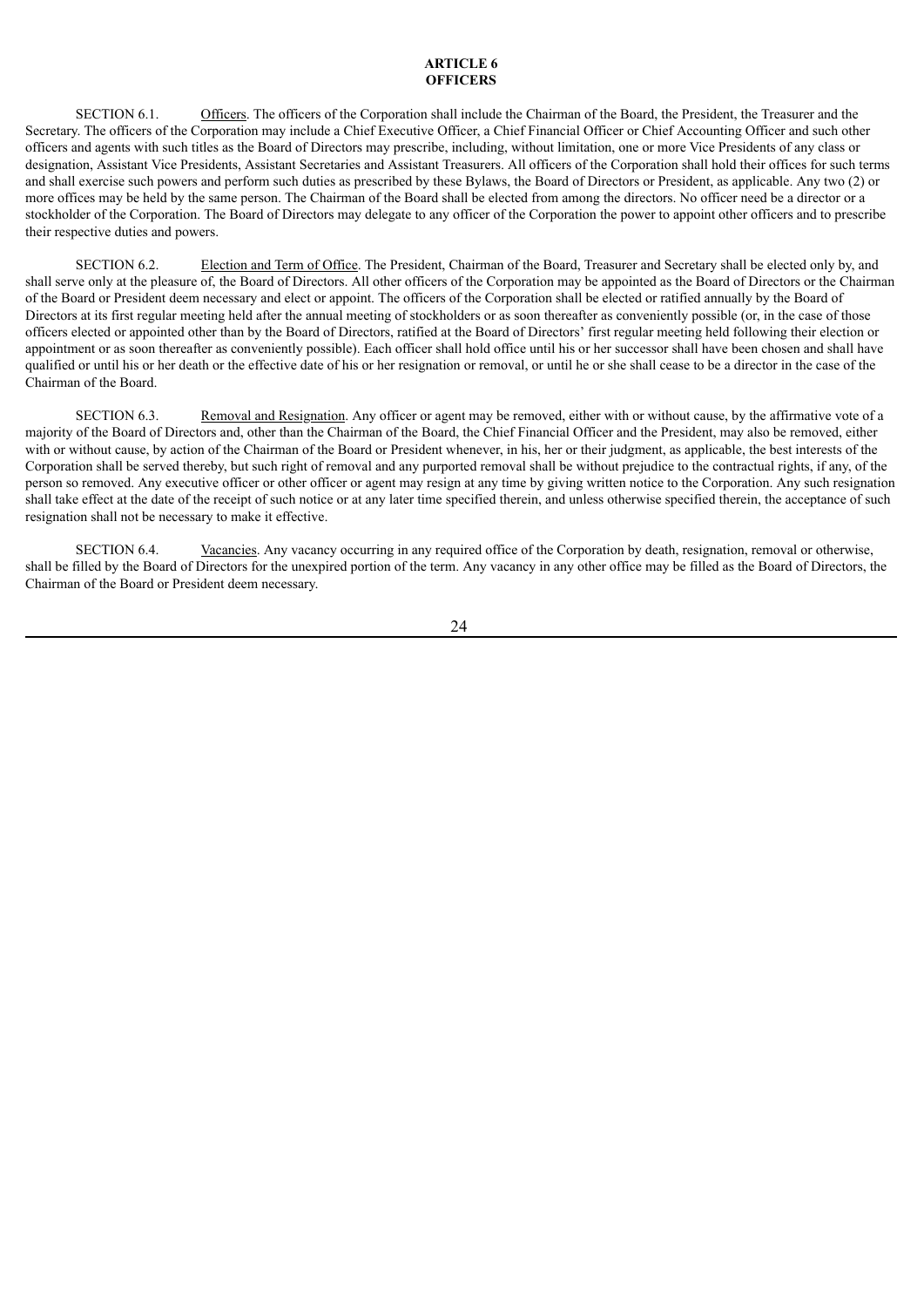#### **ARTICLE 6 OFFICERS**

SECTION 6.1. Officers. The officers of the Corporation shall include the Chairman of the Board, the President, the Treasurer and the Secretary. The officers of the Corporation may include a Chief Executive Officer, a Chief Financial Officer or Chief Accounting Officer and such other officers and agents with such titles as the Board of Directors may prescribe, including, without limitation, one or more Vice Presidents of any class or designation, Assistant Vice Presidents, Assistant Secretaries and Assistant Treasurers. All officers of the Corporation shall hold their offices for such terms and shall exercise such powers and perform such duties as prescribed by these Bylaws, the Board of Directors or President, as applicable. Any two (2) or more offices may be held by the same person. The Chairman of the Board shall be elected from among the directors. No officer need be a director or a stockholder of the Corporation. The Board of Directors may delegate to any officer of the Corporation the power to appoint other officers and to prescribe their respective duties and powers.

SECTION 6.2. Election and Term of Office. The President, Chairman of the Board, Treasurer and Secretary shall be elected only by, and shall serve only at the pleasure of, the Board of Directors. All other officers of the Corporation may be appointed as the Board of Directors or the Chairman of the Board or President deem necessary and elect or appoint. The officers of the Corporation shall be elected or ratified annually by the Board of Directors at its first regular meeting held after the annual meeting of stockholders or as soon thereafter as conveniently possible (or, in the case of those officers elected or appointed other than by the Board of Directors, ratified at the Board of Directors' first regular meeting held following their election or appointment or as soon thereafter as conveniently possible). Each officer shall hold office until his or her successor shall have been chosen and shall have qualified or until his or her death or the effective date of his or her resignation or removal, or until he or she shall cease to be a director in the case of the Chairman of the Board.

SECTION 6.3. Removal and Resignation. Any officer or agent may be removed, either with or without cause, by the affirmative vote of a majority of the Board of Directors and, other than the Chairman of the Board, the Chief Financial Officer and the President, may also be removed, either with or without cause, by action of the Chairman of the Board or President whenever, in his, her or their judgment, as applicable, the best interests of the Corporation shall be served thereby, but such right of removal and any purported removal shall be without prejudice to the contractual rights, if any, of the person so removed. Any executive officer or other officer or agent may resign at any time by giving written notice to the Corporation. Any such resignation shall take effect at the date of the receipt of such notice or at any later time specified therein, and unless otherwise specified therein, the acceptance of such resignation shall not be necessary to make it effective.

SECTION 6.4. Vacancies. Any vacancy occurring in any required office of the Corporation by death, resignation, removal or otherwise, shall be filled by the Board of Directors for the unexpired portion of the term. Any vacancy in any other office may be filled as the Board of Directors, the Chairman of the Board or President deem necessary.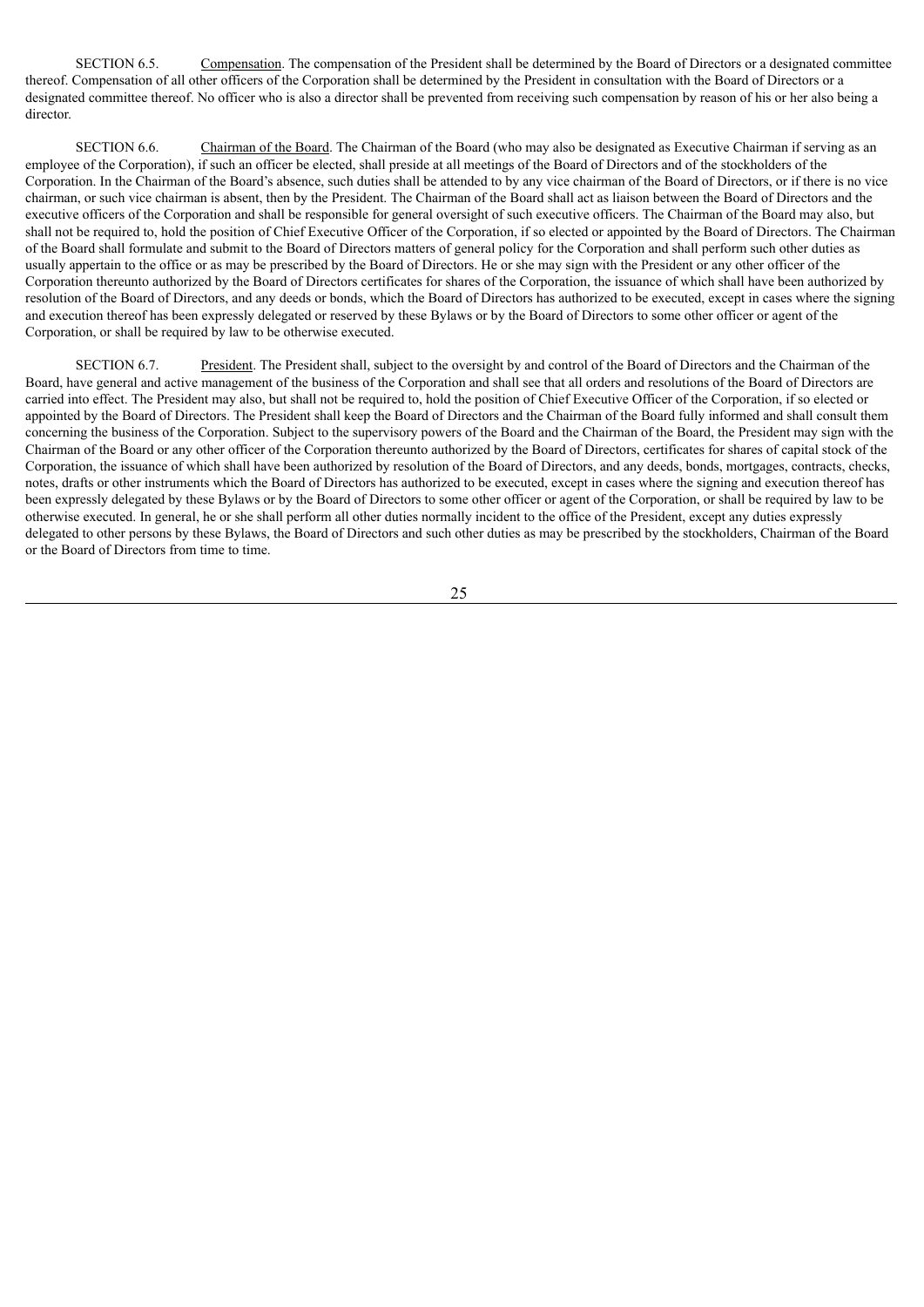SECTION 6.5. Compensation. The compensation of the President shall be determined by the Board of Directors or a designated committee thereof. Compensation of all other officers of the Corporation shall be determined by the President in consultation with the Board of Directors or a designated committee thereof. No officer who is also a director shall be prevented from receiving such compensation by reason of his or her also being a director.

SECTION 6.6. Chairman of the Board. The Chairman of the Board (who may also be designated as Executive Chairman if serving as an employee of the Corporation), if such an officer be elected, shall preside at all meetings of the Board of Directors and of the stockholders of the Corporation. In the Chairman of the Board's absence, such duties shall be attended to by any vice chairman of the Board of Directors, or if there is no vice chairman, or such vice chairman is absent, then by the President. The Chairman of the Board shall act as liaison between the Board of Directors and the executive officers of the Corporation and shall be responsible for general oversight of such executive officers. The Chairman of the Board may also, but shall not be required to, hold the position of Chief Executive Officer of the Corporation, if so elected or appointed by the Board of Directors. The Chairman of the Board shall formulate and submit to the Board of Directors matters of general policy for the Corporation and shall perform such other duties as usually appertain to the office or as may be prescribed by the Board of Directors. He or she may sign with the President or any other officer of the Corporation thereunto authorized by the Board of Directors certificates for shares of the Corporation, the issuance of which shall have been authorized by resolution of the Board of Directors, and any deeds or bonds, which the Board of Directors has authorized to be executed, except in cases where the signing and execution thereof has been expressly delegated or reserved by these Bylaws or by the Board of Directors to some other officer or agent of the Corporation, or shall be required by law to be otherwise executed.

SECTION 6.7. President. The President shall, subject to the oversight by and control of the Board of Directors and the Chairman of the Board, have general and active management of the business of the Corporation and shall see that all orders and resolutions of the Board of Directors are carried into effect. The President may also, but shall not be required to, hold the position of Chief Executive Officer of the Corporation, if so elected or appointed by the Board of Directors. The President shall keep the Board of Directors and the Chairman of the Board fully informed and shall consult them concerning the business of the Corporation. Subject to the supervisory powers of the Board and the Chairman of the Board, the President may sign with the Chairman of the Board or any other officer of the Corporation thereunto authorized by the Board of Directors, certificates for shares of capital stock of the Corporation, the issuance of which shall have been authorized by resolution of the Board of Directors, and any deeds, bonds, mortgages, contracts, checks, notes, drafts or other instruments which the Board of Directors has authorized to be executed, except in cases where the signing and execution thereof has been expressly delegated by these Bylaws or by the Board of Directors to some other officer or agent of the Corporation, or shall be required by law to be otherwise executed. In general, he or she shall perform all other duties normally incident to the office of the President, except any duties expressly delegated to other persons by these Bylaws, the Board of Directors and such other duties as may be prescribed by the stockholders, Chairman of the Board or the Board of Directors from time to time.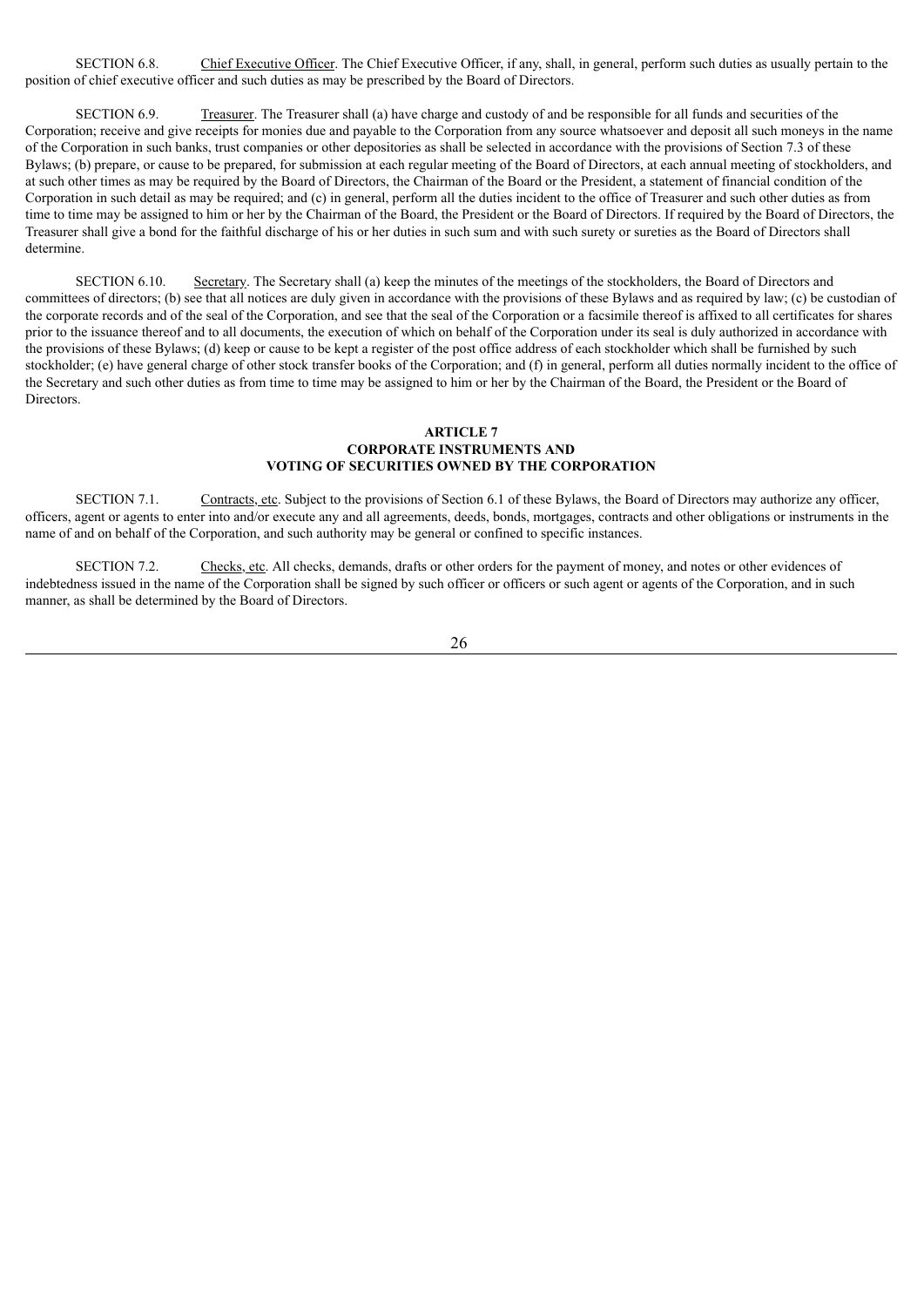SECTION 6.8. Chief Executive Officer. The Chief Executive Officer, if any, shall, in general, perform such duties as usually pertain to the position of chief executive officer and such duties as may be prescribed by the Board of Directors.

SECTION 6.9. Treasurer. The Treasurer shall (a) have charge and custody of and be responsible for all funds and securities of the Corporation; receive and give receipts for monies due and payable to the Corporation from any source whatsoever and deposit all such moneys in the name of the Corporation in such banks, trust companies or other depositories as shall be selected in accordance with the provisions of Section 7.3 of these Bylaws; (b) prepare, or cause to be prepared, for submission at each regular meeting of the Board of Directors, at each annual meeting of stockholders, and at such other times as may be required by the Board of Directors, the Chairman of the Board or the President, a statement of financial condition of the Corporation in such detail as may be required; and (c) in general, perform all the duties incident to the office of Treasurer and such other duties as from time to time may be assigned to him or her by the Chairman of the Board, the President or the Board of Directors. If required by the Board of Directors, the Treasurer shall give a bond for the faithful discharge of his or her duties in such sum and with such surety or sureties as the Board of Directors shall determine.

SECTION 6.10. Secretary. The Secretary shall (a) keep the minutes of the meetings of the stockholders, the Board of Directors and committees of directors; (b) see that all notices are duly given in accordance with the provisions of these Bylaws and as required by law; (c) be custodian of the corporate records and of the seal of the Corporation, and see that the seal of the Corporation or a facsimile thereof is affixed to all certificates for shares prior to the issuance thereof and to all documents, the execution of which on behalf of the Corporation under its seal is duly authorized in accordance with the provisions of these Bylaws; (d) keep or cause to be kept a register of the post office address of each stockholder which shall be furnished by such stockholder; (e) have general charge of other stock transfer books of the Corporation; and (f) in general, perform all duties normally incident to the office of the Secretary and such other duties as from time to time may be assigned to him or her by the Chairman of the Board, the President or the Board of Directors.

#### **ARTICLE 7 CORPORATE INSTRUMENTS AND VOTING OF SECURITIES OWNED BY THE CORPORATION**

SECTION 7.1. Contracts, etc. Subject to the provisions of Section 6.1 of these Bylaws, the Board of Directors may authorize any officer, officers, agent or agents to enter into and/or execute any and all agreements, deeds, bonds, mortgages, contracts and other obligations or instruments in the name of and on behalf of the Corporation, and such authority may be general or confined to specific instances.

SECTION 7.2. Checks, etc. All checks, demands, drafts or other orders for the payment of money, and notes or other evidences of indebtedness issued in the name of the Corporation shall be signed by such officer or officers or such agent or agents of the Corporation, and in such manner, as shall be determined by the Board of Directors.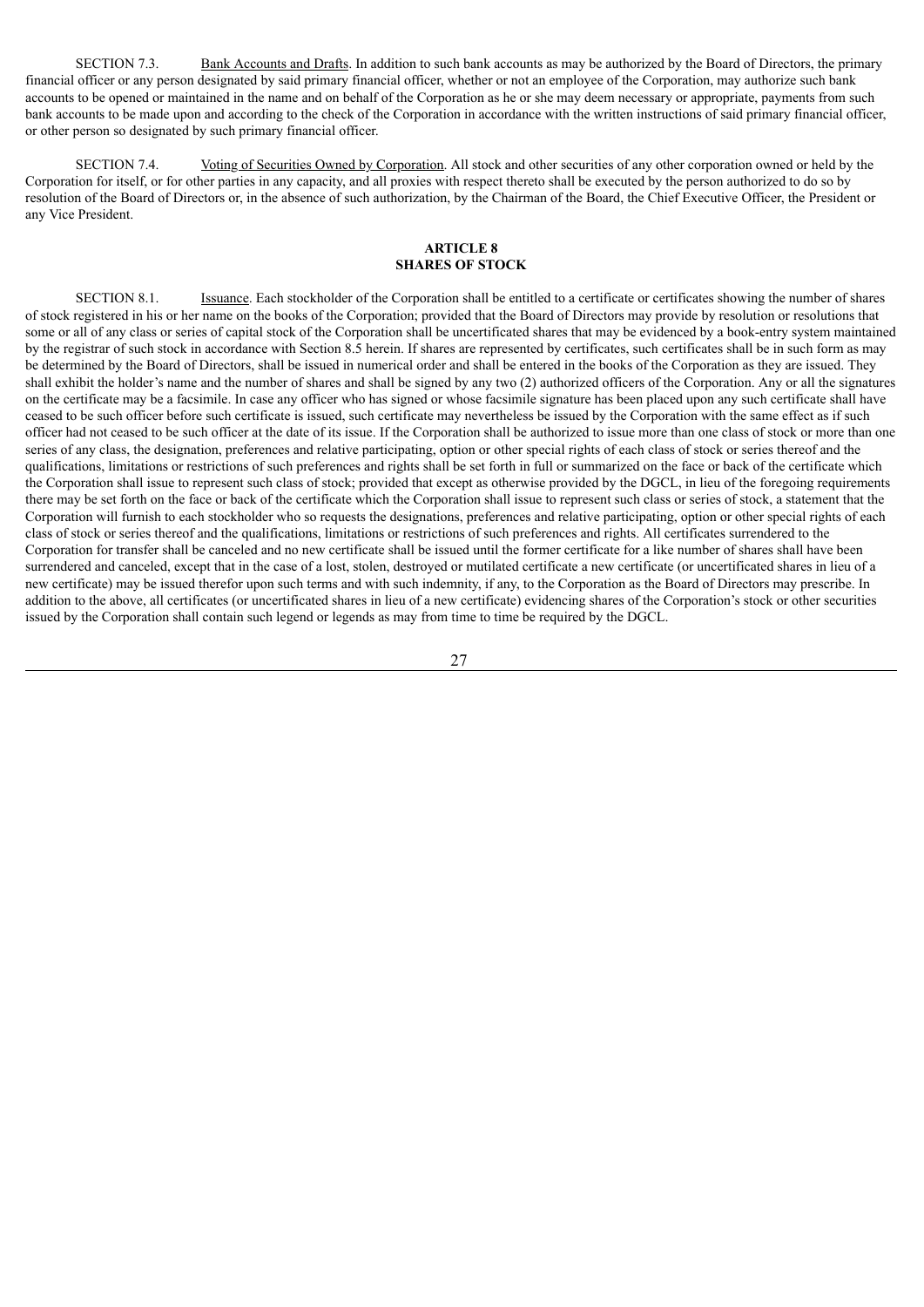SECTION 7.3. Bank Accounts and Drafts. In addition to such bank accounts as may be authorized by the Board of Directors, the primary financial officer or any person designated by said primary financial officer, whether or not an employee of the Corporation, may authorize such bank accounts to be opened or maintained in the name and on behalf of the Corporation as he or she may deem necessary or appropriate, payments from such bank accounts to be made upon and according to the check of the Corporation in accordance with the written instructions of said primary financial officer, or other person so designated by such primary financial officer.

SECTION 7.4. Voting of Securities Owned by Corporation. All stock and other securities of any other corporation owned or held by the Corporation for itself, or for other parties in any capacity, and all proxies with respect thereto shall be executed by the person authorized to do so by resolution of the Board of Directors or, in the absence of such authorization, by the Chairman of the Board, the Chief Executive Officer, the President or any Vice President.

## **ARTICLE 8 SHARES OF STOCK**

SECTION 8.1. Issuance. Each stockholder of the Corporation shall be entitled to a certificate or certificates showing the number of shares of stock registered in his or her name on the books of the Corporation; provided that the Board of Directors may provide by resolution or resolutions that some or all of any class or series of capital stock of the Corporation shall be uncertificated shares that may be evidenced by a book-entry system maintained by the registrar of such stock in accordance with Section 8.5 herein. If shares are represented by certificates, such certificates shall be in such form as may be determined by the Board of Directors, shall be issued in numerical order and shall be entered in the books of the Corporation as they are issued. They shall exhibit the holder's name and the number of shares and shall be signed by any two (2) authorized officers of the Corporation. Any or all the signatures on the certificate may be a facsimile. In case any officer who has signed or whose facsimile signature has been placed upon any such certificate shall have ceased to be such officer before such certificate is issued, such certificate may nevertheless be issued by the Corporation with the same effect as if such officer had not ceased to be such officer at the date of its issue. If the Corporation shall be authorized to issue more than one class of stock or more than one series of any class, the designation, preferences and relative participating, option or other special rights of each class of stock or series thereof and the qualifications, limitations or restrictions of such preferences and rights shall be set forth in full or summarized on the face or back of the certificate which the Corporation shall issue to represent such class of stock; provided that except as otherwise provided by the DGCL, in lieu of the foregoing requirements there may be set forth on the face or back of the certificate which the Corporation shall issue to represent such class or series of stock, a statement that the Corporation will furnish to each stockholder who so requests the designations, preferences and relative participating, option or other special rights of each class of stock or series thereof and the qualifications, limitations or restrictions of such preferences and rights. All certificates surrendered to the Corporation for transfer shall be canceled and no new certificate shall be issued until the former certificate for a like number of shares shall have been surrendered and canceled, except that in the case of a lost, stolen, destroyed or mutilated certificate a new certificate (or uncertificated shares in lieu of a new certificate) may be issued therefor upon such terms and with such indemnity, if any, to the Corporation as the Board of Directors may prescribe. In addition to the above, all certificates (or uncertificated shares in lieu of a new certificate) evidencing shares of the Corporation's stock or other securities issued by the Corporation shall contain such legend or legends as may from time to time be required by the DGCL.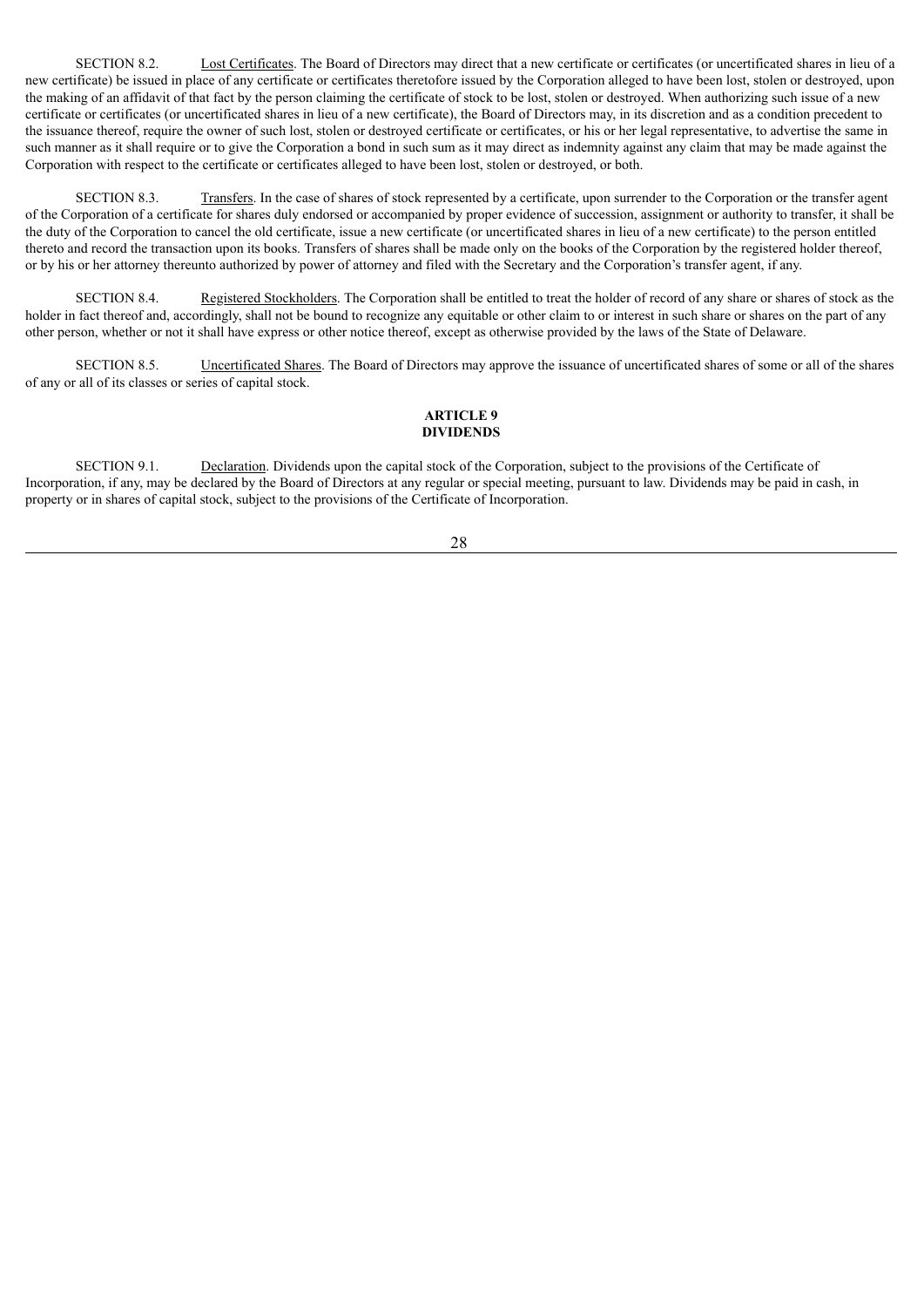SECTION 8.2. Lost Certificates. The Board of Directors may direct that a new certificate or certificates (or uncertificated shares in lieu of a new certificate) be issued in place of any certificate or certificates theretofore issued by the Corporation alleged to have been lost, stolen or destroyed, upon the making of an affidavit of that fact by the person claiming the certificate of stock to be lost, stolen or destroyed. When authorizing such issue of a new certificate or certificates (or uncertificated shares in lieu of a new certificate), the Board of Directors may, in its discretion and as a condition precedent to the issuance thereof, require the owner of such lost, stolen or destroyed certificate or certificates, or his or her legal representative, to advertise the same in such manner as it shall require or to give the Corporation a bond in such sum as it may direct as indemnity against any claim that may be made against the Corporation with respect to the certificate or certificates alleged to have been lost, stolen or destroyed, or both.

SECTION 8.3. Transfers. In the case of shares of stock represented by a certificate, upon surrender to the Corporation or the transfer agent of the Corporation of a certificate for shares duly endorsed or accompanied by proper evidence of succession, assignment or authority to transfer, it shall be the duty of the Corporation to cancel the old certificate, issue a new certificate (or uncertificated shares in lieu of a new certificate) to the person entitled thereto and record the transaction upon its books. Transfers of shares shall be made only on the books of the Corporation by the registered holder thereof, or by his or her attorney thereunto authorized by power of attorney and filed with the Secretary and the Corporation's transfer agent, if any.

SECTION 8.4. Registered Stockholders. The Corporation shall be entitled to treat the holder of record of any share or shares of stock as the holder in fact thereof and, accordingly, shall not be bound to recognize any equitable or other claim to or interest in such share or shares on the part of any other person, whether or not it shall have express or other notice thereof, except as otherwise provided by the laws of the State of Delaware.

SECTION 8.5. Uncertificated Shares. The Board of Directors may approve the issuance of uncertificated shares of some or all of the shares of any or all of its classes or series of capital stock.

# **ARTICLE 9 DIVIDENDS**

SECTION 9.1. Declaration. Dividends upon the capital stock of the Corporation, subject to the provisions of the Certificate of Incorporation, if any, may be declared by the Board of Directors at any regular or special meeting, pursuant to law. Dividends may be paid in cash, in property or in shares of capital stock, subject to the provisions of the Certificate of Incorporation.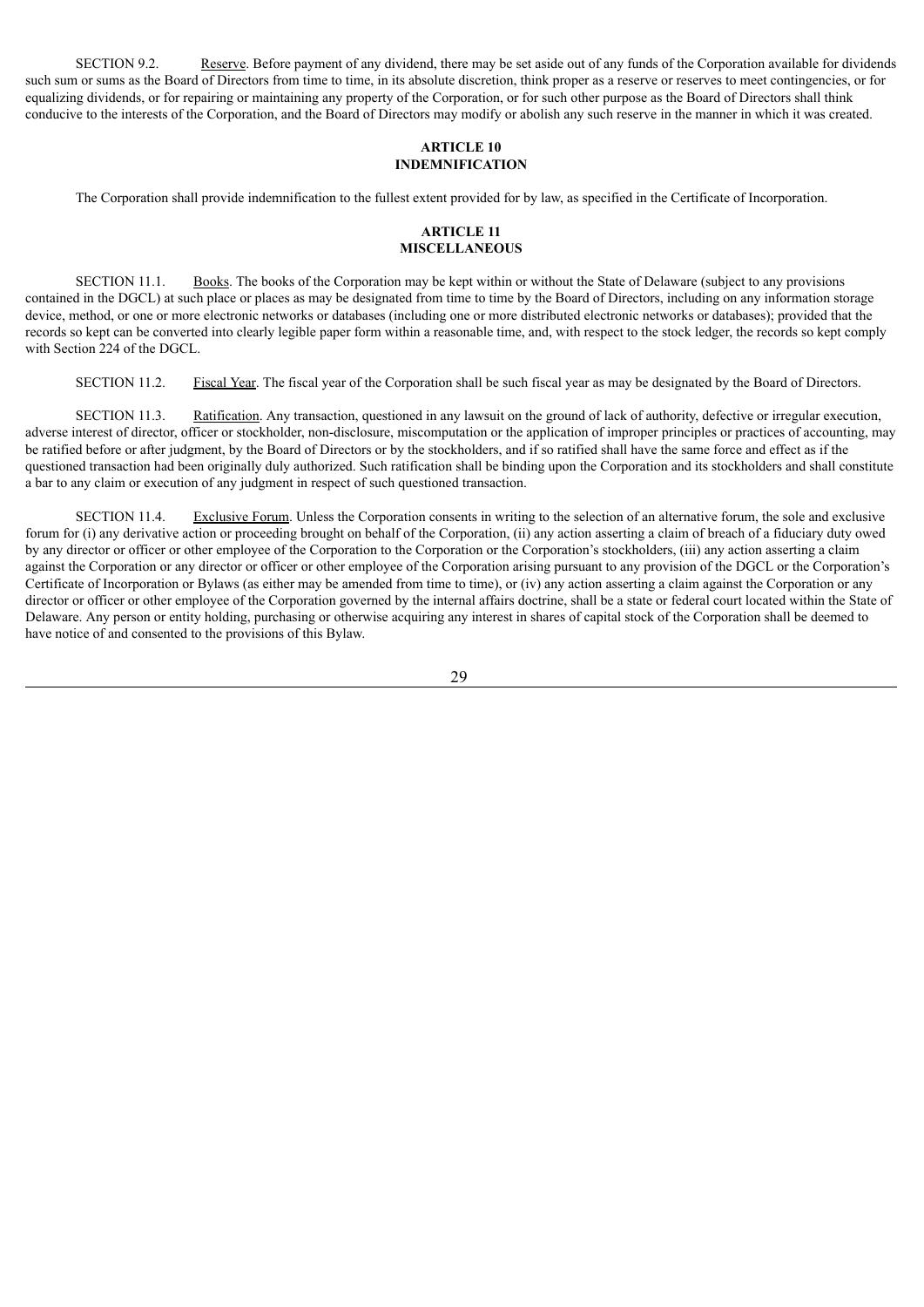SECTION 9.2. Reserve. Before payment of any dividend, there may be set aside out of any funds of the Corporation available for dividends such sum or sums as the Board of Directors from time to time, in its absolute discretion, think proper as a reserve or reserves to meet contingencies, or for equalizing dividends, or for repairing or maintaining any property of the Corporation, or for such other purpose as the Board of Directors shall think conducive to the interests of the Corporation, and the Board of Directors may modify or abolish any such reserve in the manner in which it was created.

### **ARTICLE 10 INDEMNIFICATION**

The Corporation shall provide indemnification to the fullest extent provided for by law, as specified in the Certificate of Incorporation.

### **ARTICLE 11 MISCELLANEOUS**

SECTION 11.1. Books. The books of the Corporation may be kept within or without the State of Delaware (subject to any provisions contained in the DGCL) at such place or places as may be designated from time to time by the Board of Directors, including on any information storage device, method, or one or more electronic networks or databases (including one or more distributed electronic networks or databases); provided that the records so kept can be converted into clearly legible paper form within a reasonable time, and, with respect to the stock ledger, the records so kept comply with Section 224 of the DGCL.

SECTION 11.2. Fiscal Year. The fiscal year of the Corporation shall be such fiscal year as may be designated by the Board of Directors.

SECTION 11.3. Ratification. Any transaction, questioned in any lawsuit on the ground of lack of authority, defective or irregular execution, adverse interest of director, officer or stockholder, non-disclosure, miscomputation or the application of improper principles or practices of accounting, may be ratified before or after judgment, by the Board of Directors or by the stockholders, and if so ratified shall have the same force and effect as if the questioned transaction had been originally duly authorized. Such ratification shall be binding upon the Corporation and its stockholders and shall constitute a bar to any claim or execution of any judgment in respect of such questioned transaction.

SECTION 11.4. Exclusive Forum. Unless the Corporation consents in writing to the selection of an alternative forum, the sole and exclusive forum for (i) any derivative action or proceeding brought on behalf of the Corporation, (ii) any action asserting a claim of breach of a fiduciary duty owed by any director or officer or other employee of the Corporation to the Corporation or the Corporation's stockholders, (iii) any action asserting a claim against the Corporation or any director or officer or other employee of the Corporation arising pursuant to any provision of the DGCL or the Corporation's Certificate of Incorporation or Bylaws (as either may be amended from time to time), or (iv) any action asserting a claim against the Corporation or any director or officer or other employee of the Corporation governed by the internal affairs doctrine, shall be a state or federal court located within the State of Delaware. Any person or entity holding, purchasing or otherwise acquiring any interest in shares of capital stock of the Corporation shall be deemed to have notice of and consented to the provisions of this Bylaw.